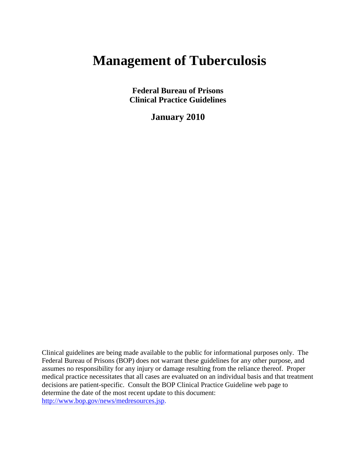# **Management of Tuberculosis**

**Federal Bureau of Prisons Clinical Practice Guidelines**

**January 2010**

Clinical guidelines are being made available to the public for informational purposes only. The Federal Bureau of Prisons (BOP) does not warrant these guidelines for any other purpose, and assumes no responsibility for any injury or damage resulting from the reliance thereof. Proper medical practice necessitates that all cases are evaluated on an individual basis and that treatment decisions are patient-specific. Consult the BOP Clinical Practice Guideline web page to determine the date of the most recent update to this document: [http://www.bop.gov/news/medresources.jsp.](http://www.bop.gov/news/medresources.jsp)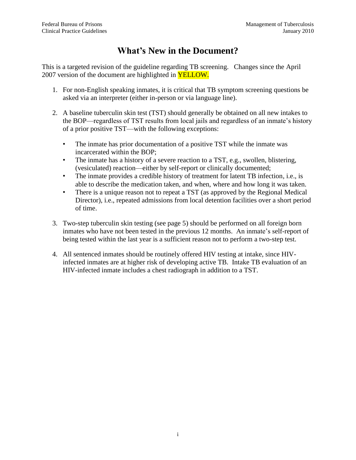## **What's New in the Document?**

This is a targeted revision of the guideline regarding TB screening. Changes since the April 2007 version of the document are highlighted in **YELLOW.** 

- 1. For non-English speaking inmates, it is critical that TB symptom screening questions be asked via an interpreter (either in-person or via language line).
- 2. A baseline tuberculin skin test (TST) should generally be obtained on all new intakes to the BOP—regardless of TST results from local jails and regardless of an inmate's history of a prior positive TST—with the following exceptions:
	- The inmate has prior documentation of a positive TST while the inmate was incarcerated within the BOP;
	- The inmate has a history of a severe reaction to a TST, e.g., swollen, blistering, (vesiculated) reaction—either by self-report or clinically documented;
	- The inmate provides a credible history of treatment for latent TB infection, i.e., is able to describe the medication taken, and when, where and how long it was taken.
	- There is a unique reason not to repeat a TST (as approved by the Regional Medical Director), i.e., repeated admissions from local detention facilities over a short period of time.
- 3. Two-step tuberculin skin testing (see page 5) should be performed on all foreign born inmates who have not been tested in the previous 12 months. An inmate's self-report of being tested within the last year is a sufficient reason not to perform a two-step test.
- 4. All sentenced inmates should be routinely offered HIV testing at intake, since HIVinfected inmates are at higher risk of developing active TB. Intake TB evaluation of an HIV-infected inmate includes a chest radiograph in addition to a TST.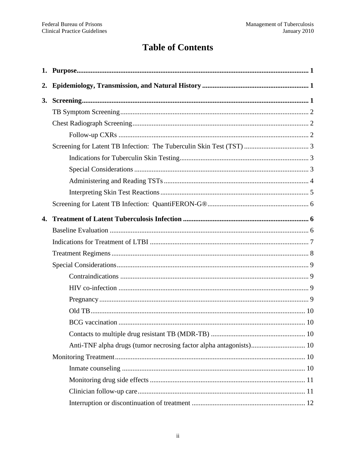# **Table of Contents**

| 2. |                                                                    |  |
|----|--------------------------------------------------------------------|--|
| 3. |                                                                    |  |
|    |                                                                    |  |
|    |                                                                    |  |
|    |                                                                    |  |
|    |                                                                    |  |
|    |                                                                    |  |
|    |                                                                    |  |
|    |                                                                    |  |
|    |                                                                    |  |
|    |                                                                    |  |
| 4. |                                                                    |  |
|    |                                                                    |  |
|    |                                                                    |  |
|    |                                                                    |  |
|    |                                                                    |  |
|    |                                                                    |  |
|    |                                                                    |  |
|    |                                                                    |  |
|    |                                                                    |  |
|    |                                                                    |  |
|    |                                                                    |  |
|    | Anti-TNF alpha drugs (tumor necrosing factor alpha antagonists) 10 |  |
|    |                                                                    |  |
|    |                                                                    |  |
|    |                                                                    |  |
|    |                                                                    |  |
|    |                                                                    |  |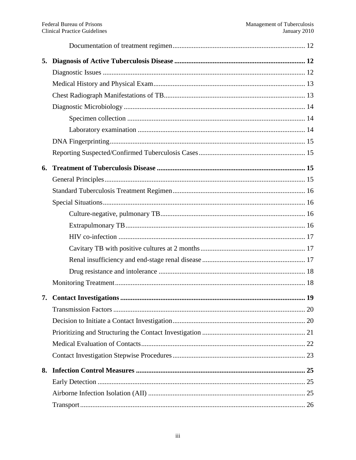| 5. |  |
|----|--|
|    |  |
|    |  |
|    |  |
|    |  |
|    |  |
|    |  |
|    |  |
|    |  |
| 6. |  |
|    |  |
|    |  |
|    |  |
|    |  |
|    |  |
|    |  |
|    |  |
|    |  |
|    |  |
|    |  |
| 7. |  |
|    |  |
|    |  |
|    |  |
|    |  |
|    |  |
| 8. |  |
|    |  |
|    |  |
|    |  |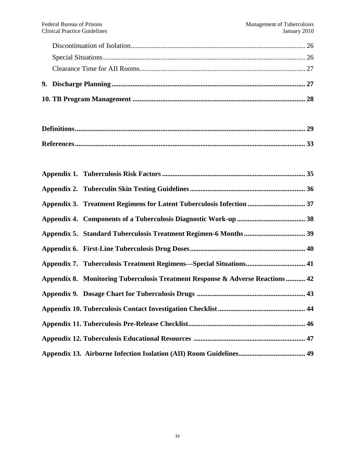| Appendix 3. Treatment Regimens for Latent Tuberculosis Infection  37           |  |
|--------------------------------------------------------------------------------|--|
|                                                                                |  |
|                                                                                |  |
|                                                                                |  |
|                                                                                |  |
| Appendix 8. Monitoring Tuberculosis Treatment Response & Adverse Reactions  42 |  |
|                                                                                |  |
|                                                                                |  |
|                                                                                |  |
|                                                                                |  |
|                                                                                |  |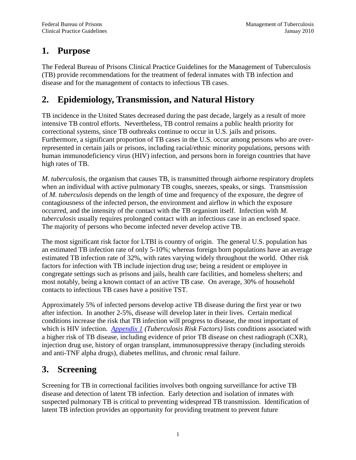## <span id="page-5-0"></span>**1. Purpose**

The Federal Bureau of Prisons Clinical Practice Guidelines for the Management of Tuberculosis (TB) provide recommendations for the treatment of federal inmates with TB infection and disease and for the management of contacts to infectious TB cases.

# <span id="page-5-1"></span>**2. Epidemiology, Transmission, and Natural History**

TB incidence in the United States decreased during the past decade, largely as a result of more intensive TB control efforts. Nevertheless, TB control remains a public health priority for correctional systems, since TB outbreaks continue to occur in U.S. jails and prisons. Furthermore, a significant proportion of TB cases in the U.S. occur among persons who are overrepresented in certain jails or prisons, including racial/ethnic minority populations, persons with human immunodeficiency virus (HIV) infection, and persons born in foreign countries that have high rates of TB.

*M. tuberculosis*, the organism that causes TB, is transmitted through airborne respiratory droplets when an individual with active pulmonary TB coughs, sneezes, speaks, or sings. Transmission of *M. tuberculosis* depends on the length of time and frequency of the exposure, the degree of contagiousness of the infected person, the environment and airflow in which the exposure occurred, and the intensity of the contact with the TB organism itself. Infection with *M. tuberculosis* usually requires prolonged contact with an infectious case in an enclosed space. The majority of persons who become infected never develop active TB.

The most significant risk factor for LTBI is country of origin. The general U.S. population has an estimated TB infection rate of only 5-10%; whereas foreign born populations have an average estimated TB infection rate of 32%, with rates varying widely throughout the world. Other risk factors for infection with TB include injection drug use; being a resident or employee in congregate settings such as prisons and jails, health care facilities, and homeless shelters; and most notably, being a known contact of an active TB case. On average, 30% of household contacts to infectious TB cases have a positive TST.

Approximately 5% of infected persons develop active TB disease during the first year or two after infection. In another 2-5%, disease will develop later in their lives. Certain medical conditions increase the risk that TB infection will progress to disease, the most important of which is HIV infection*. [Appendix 1](#page-39-0) (Tuberculosis Risk Factors)* lists conditions associated with a higher risk of TB disease, including evidence of prior TB disease on chest radiograph (CXR), injection drug use, history of organ transplant, immunosuppressive therapy (including steroids and anti-TNF alpha drugs), diabetes mellitus, and chronic renal failure.

# <span id="page-5-2"></span>**3. Screening**

Screening for TB in correctional facilities involves both ongoing surveillance for active TB disease and detection of latent TB infection. Early detection and isolation of inmates with suspected pulmonary TB is critical to preventing widespread TB transmission. Identification of latent TB infection provides an opportunity for providing treatment to prevent future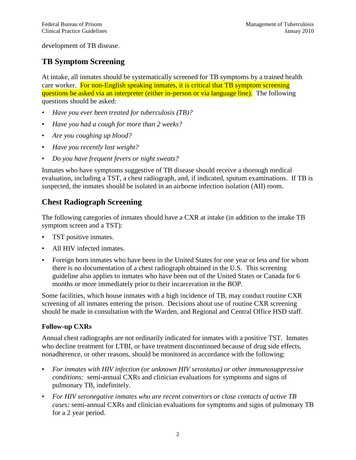development of TB disease.

## <span id="page-6-0"></span>**TB Symptom Screening**

At intake, all inmates should be systematically screened for TB symptoms by a trained health care worker. For non-English speaking inmates, it is critical that TB symptom screening questions be asked via an interpreter (either in-person or via language line). The following questions should be asked:

- *Have you ever been treated for tuberculosis (TB)?*
- *Have you had a cough for more than 2 weeks?*
- *Are you coughing up blood?*
- *Have you recently lost weight?*
- *Do you have frequent fevers or night sweats?*

Inmates who have symptoms suggestive of TB disease should receive a thorough medical evaluation, including a TST, a chest radiograph, and, if indicated, sputum examinations. If TB is suspected, the inmates should be isolated in an airborne infection isolation (AII) room.

## <span id="page-6-1"></span>**Chest Radiograph Screening**

The following categories of inmates should have a CXR at intake (in addition to the intake TB symptom screen and a TST):

- TST positive inmates.
- All HIV infected inmates.
- Foreign born inmates who have been in the United States for one year or less *and* for whom there is no documentation of a chest radiograph obtained in the U.S. This screening guideline also applies to inmates who have been out of the United States or Canada for 6 months or more immediately prior to their incarceration in the BOP.

Some facilities, which house inmates with a high incidence of TB, may conduct routine CXR screening of all inmates entering the prison. Decisions about use of routine CXR screening should be made in consultation with the Warden, and Regional and Central Office HSD staff.

### <span id="page-6-2"></span>**Follow-up CXRs**

Annual chest radiographs are not ordinarily indicated for inmates with a positive TST. Inmates who decline treatment for LTBI, or have treatment discontinued because of drug side effects, nonadherence, or other reasons, should be monitored in accordance with the following:

- *For inmates with HIV infection (or unknown HIV serostatus) or other immunosuppressive conditions:* semi-annual CXRs and clinician evaluations for symptoms and signs of pulmonary TB, indefinitely.
- *For HIV seronegative inmates who are recent convertors or close contacts of active TB cases:* semi-annual CXRs and clinician evaluations for symptoms and signs of pulmonary TB for a 2 year period.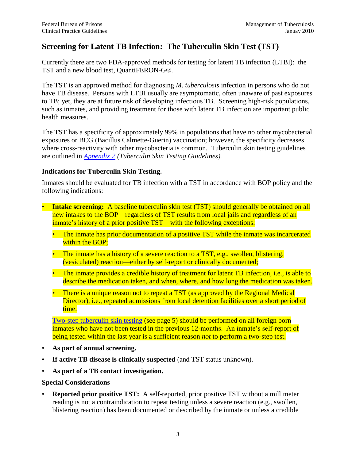## <span id="page-7-0"></span>**Screening for Latent TB Infection: The Tuberculin Skin Test (TST)**

Currently there are two FDA-approved methods for testing for latent TB infection (LTBI): the TST and a new blood test, QuantiFERON-G®.

The TST is an approved method for diagnosing *M. tuberculosis* infection in persons who do not have TB disease. Persons with LTBI usually are asymptomatic, often unaware of past exposures to TB; yet, they are at future risk of developing infectious TB. Screening high-risk populations, such as inmates, and providing treatment for those with latent TB infection are important public health measures.

The TST has a specificity of approximately 99% in populations that have no other mycobacterial exposures or BCG (Bacillus Calmette-Guerin) vaccination; however, the specificity decreases where cross-reactivity with other mycobacteria is common. Tuberculin skin testing guidelines are outlined in *[Appendix 2](#page-40-0) (Tuberculin Skin Testing Guidelines).* 

#### <span id="page-7-1"></span>**Indications for Tuberculin Skin Testing.**

Inmates should be evaluated for TB infection with a TST in accordance with BOP policy and the following indications:

- **Intake screening:** A baseline tuberculin skin test (TST) should generally be obtained on all new intakes to the BOP—regardless of TST results from local jails and regardless of an inmate's history of a prior positive TST—with the following exceptions:
	- The inmate has prior documentation of a positive TST while the inmate was incarcerated within the BOP;
	- The inmate has a history of a severe reaction to a TST, e.g., swollen, blistering, (vesiculated) reaction—either by self-report or clinically documented;
	- The inmate provides a credible history of treatment for latent TB infection, i.e., is able to describe the medication taken, and when, where, and how long the medication was taken.
	- There is a unique reason not to repeat a TST (as approved by the Regional Medical Director), i.e., repeated admissions from local detention facilities over a short period of time.

[Two-step tuberculin skin testing](#page-9-1) (see page 5) should be performed on all foreign born inmates who have not been tested in the previous 12-months. An inmate's self-report of being tested within the last year is a sufficient reason *not* to perform a two-step test.

- **As part of annual screening.**
- **If active TB disease is clinically suspected** (and TST status unknown).
- **As part of a TB contact investigation.**

#### <span id="page-7-2"></span>**Special Considerations**

• **Reported prior positive TST:** A self-reported, prior positive TST without a millimeter reading is not a contraindication to repeat testing unless a severe reaction (e.g., swollen, blistering reaction) has been documented or described by the inmate or unless a credible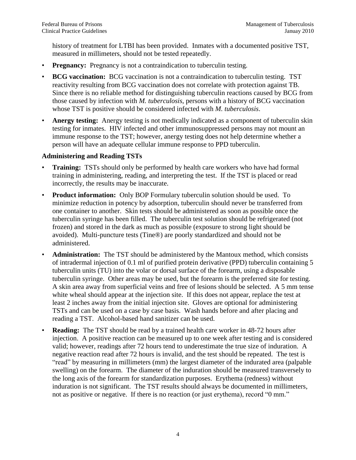history of treatment for LTBI has been provided. Inmates with a documented positive TST, measured in millimeters, should not be tested repeatedly.

- **Pregnancy:** Pregnancy is not a contraindication to tuberculin testing.
- **BCG vaccination:** BCG vaccination is not a contraindication to tuberculin testing. TST reactivity resulting from BCG vaccination does not correlate with protection against TB. Since there is no reliable method for distinguishing tuberculin reactions caused by BCG from those caused by infection with *M. tuberculosis*, persons with a history of BCG vaccination whose TST is positive should be considered infected with *M. tuberculosis*.
- Anergy testing: Anergy testing is not medically indicated as a component of tuberculin skin testing for inmates. HIV infected and other immunosuppressed persons may not mount an immune response to the TST; however, anergy testing does not help determine whether a person will have an adequate cellular immune response to PPD tuberculin.

#### <span id="page-8-0"></span>**Administering and Reading TSTs**

- **Training:** TSTs should only be performed by health care workers who have had formal training in administering, reading, and interpreting the test. If the TST is placed or read incorrectly, the results may be inaccurate.
- **Product information:** Only BOP Formulary tuberculin solution should be used. To minimize reduction in potency by adsorption, tuberculin should never be transferred from one container to another. Skin tests should be administered as soon as possible once the tuberculin syringe has been filled. The tuberculin test solution should be refrigerated (not frozen) and stored in the dark as much as possible (exposure to strong light should be avoided). Multi-puncture tests (Tine®) are poorly standardized and should not be administered.
- **Administration:** The TST should be administered by the Mantoux method, which consists of intradermal injection of 0.1 ml of purified protein derivative (PPD) tuberculin containing 5 tuberculin units (TU) into the volar or dorsal surface of the forearm, using a disposable tuberculin syringe. Other areas may be used, but the forearm is the preferred site for testing. A skin area away from superficial veins and free of lesions should be selected. A 5 mm tense white wheal should appear at the injection site. If this does not appear, replace the test at least 2 inches away from the initial injection site. Gloves are optional for administering TSTs and can be used on a case by case basis. Wash hands before and after placing and reading a TST. Alcohol-based hand sanitizer can be used.
- **Reading:** The TST should be read by a trained health care worker in 48-72 hours after injection. A positive reaction can be measured up to one week after testing and is considered valid; however, readings after 72 hours tend to underestimate the true size of induration. A negative reaction read after 72 hours is invalid, and the test should be repeated. The test is ―read‖ by measuring in millimeters (mm) the largest diameter of the indurated area (palpable swelling) on the forearm. The diameter of the induration should be measured transversely to the long axis of the forearm for standardization purposes. Erythema (redness) without induration is not significant. The TST results should always be documented in millimeters, not as positive or negative. If there is no reaction (or just erythema), record "0 mm."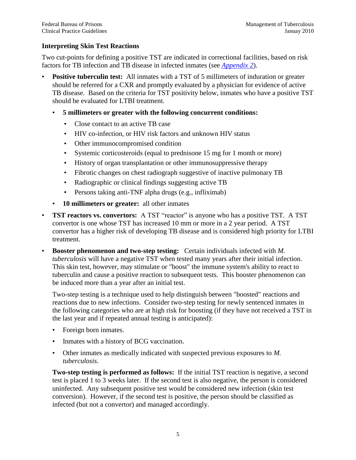#### <span id="page-9-0"></span>**Interpreting Skin Test Reactions**

Two cut-points for defining a positive TST are indicated in correctional facilities, based on risk factors for TB infection and TB disease in infected inmates (see *[Appendix 2](#page-40-0)*).

- **Positive tuberculin test:** All inmates with a TST of 5 millimeters of induration or greater should be referred for a CXR and promptly evaluated by a physician for evidence of active TB disease. Based on the criteria for TST positivity below, inmates who have a positive TST should be evaluated for LTBI treatment.
	- **5 millimeters or greater with the following concurrent conditions:**
		- Close contact to an active TB case
		- HIV co-infection, or HIV risk factors and unknown HIV status
		- Other immunocompromised condition
		- Systemic corticosteroids (equal to prednisone 15 mg for 1 month or more)
		- History of organ transplantation or other immunosuppressive therapy
		- Fibrotic changes on chest radiograph suggestive of inactive pulmonary TB
		- Radiographic or clinical findings suggesting active TB
		- Persons taking anti-TNF alpha drugs (e.g., infliximab)
	- **10 millimeters or greater:** all other inmates
- **TST reactors vs. convertors:** A TST "reactor" is anyone who has a positive TST. A TST convertor is one whose TST has increased 10 mm or more in a 2 year period. A TST convertor has a higher risk of developing TB disease and is considered high priority for LTBI treatment.
- **Booster phenomenon and two-step testing:** Certain individuals infected with *M. tuberculosis* will have a negative TST when tested many years after their initial infection. This skin test, however, may stimulate or "boost" the immune system's ability to react to tuberculin and cause a positive reaction to subsequent tests. This booster phenomenon can be induced more than a year after an initial test.

Two-step testing is a technique used to help distinguish between "boosted" reactions and reactions due to new infections. Consider two-step testing for newly sentenced inmates in the following categories who are at high risk for boosting (if they have not received a TST in the last year and if repeated annual testing is anticipated):

- Foreign born inmates.
- Inmates with a history of BCG vaccination.
- Other inmates as medically indicated with suspected previous exposures to *M. tuberculosis*.

<span id="page-9-1"></span>**Two-step testing is performed as follows:** If the initial TST reaction is negative, a second test is placed 1 to 3 weeks later. If the second test is also negative, the person is considered uninfected. Any subsequent positive test would be considered new infection (skin test conversion). However, if the second test is positive, the person should be classified as infected (but not a convertor) and managed accordingly.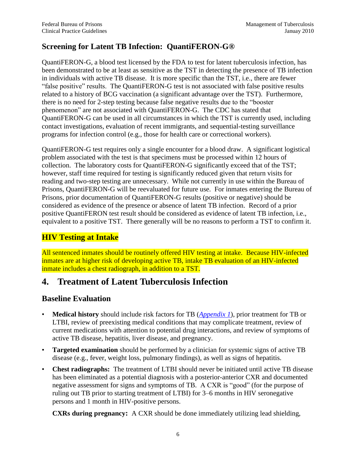## <span id="page-10-0"></span>**Screening for Latent TB Infection: QuantiFERON-G®**

QuantiFERON-G, a blood test licensed by the FDA to test for latent tuberculosis infection, has been demonstrated to be at least as sensitive as the TST in detecting the presence of TB infection in individuals with active TB disease. It is more specific than the TST, i.e., there are fewer "false positive" results. The QuantiFERON-G test is not associated with false positive results related to a history of BCG vaccination (a significant advantage over the TST). Furthermore, there is no need for 2-step testing because false negative results due to the "booster" phenomenon" are not associated with QuantiFERON-G. The CDC has stated that QuantiFERON-G can be used in all circumstances in which the TST is currently used, including contact investigations, evaluation of recent immigrants, and sequential-testing surveillance programs for infection control (e.g., those for health care or correctional workers).

QuantiFERON-G test requires only a single encounter for a blood draw. A significant logistical problem associated with the test is that specimens must be processed within 12 hours of collection. The laboratory costs for QuantiFERON-G significantly exceed that of the TST; however, staff time required for testing is significantly reduced given that return visits for reading and two-step testing are unnecessary. While not currently in use within the Bureau of Prisons, QuantiFERON-G will be reevaluated for future use. For inmates entering the Bureau of Prisons, prior documentation of QuantiFERON-G results (positive or negative) should be considered as evidence of the presence or absence of latent TB infection. Record of a prior positive QuantiFERON test result should be considered as evidence of latent TB infection, i.e., equivalent to a positive TST. There generally will be no reasons to perform a TST to confirm it.

## **HIV Testing at Intake**

All sentenced inmates should be routinely offered HIV testing at intake. Because HIV-infected inmates are at higher risk of developing active TB, intake TB evaluation of an HIV-infected inmate includes a chest radiograph, in addition to a TST.

## <span id="page-10-1"></span>**4. Treatment of Latent Tuberculosis Infection**

## <span id="page-10-2"></span>**Baseline Evaluation**

- **Medical history** should include risk factors for TB (*[Appendix 1](#page-39-0)*), prior treatment for TB or LTBI, review of preexisting medical conditions that may complicate treatment, review of current medications with attention to potential drug interactions, and review of symptoms of active TB disease, hepatitis, liver disease, and pregnancy.
- **Targeted examination** should be performed by a clinician for systemic signs of active TB disease (e.g., fever, weight loss, pulmonary findings), as well as signs of hepatitis.
- **Chest radiographs:** The treatment of LTBI should never be initiated until active TB disease has been eliminated as a potential diagnosis with a posterior-anterior CXR and documented negative assessment for signs and symptoms of TB. A CXR is "good" (for the purpose of ruling out TB prior to starting treatment of LTBI) for 3–6 months in HIV seronegative persons and 1 month in HIV-positive persons.

**CXRs during pregnancy:** A CXR should be done immediately utilizing lead shielding,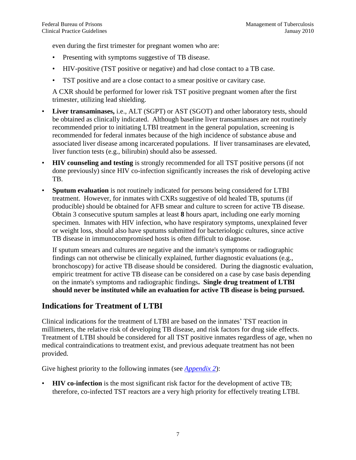even during the first trimester for pregnant women who are:

- Presenting with symptoms suggestive of TB disease.
- HIV-positive (TST positive or negative) and had close contact to a TB case.
- TST positive and are a close contact to a smear positive or cavitary case.

A CXR should be performed for lower risk TST positive pregnant women after the first trimester, utilizing lead shielding.

- **Liver transaminases,** i.e., ALT (SGPT) or AST (SGOT) and other laboratory tests, should be obtained as clinically indicated. Although baseline liver transaminases are not routinely recommended prior to initiating LTBI treatment in the general population, screening is recommended for federal inmates because of the high incidence of substance abuse and associated liver disease among incarcerated populations. If liver transaminases are elevated, liver function tests (e.g., bilirubin) should also be assessed.
- **HIV counseling and testing** is strongly recommended for all TST positive persons (if not done previously) since HIV co-infection significantly increases the risk of developing active TB.
- **Sputum evaluation** is not routinely indicated for persons being considered for LTBI treatment. However, for inmates with CXRs suggestive of old healed TB, sputums (if producible) should be obtained for AFB smear and culture to screen for active TB disease. Obtain 3 consecutive sputum samples at least **8** hours apart, including one early morning specimen. Inmates with HIV infection, who have respiratory symptoms, unexplained fever or weight loss, should also have sputums submitted for bacteriologic cultures, since active TB disease in immunocompromised hosts is often difficult to diagnose.

If sputum smears and cultures are negative and the inmate's symptoms or radiographic findings can not otherwise be clinically explained, further diagnostic evaluations (e.g., bronchoscopy) for active TB disease should be considered. During the diagnostic evaluation, empiric treatment for active TB disease can be considered on a case by case basis depending on the inmate's symptoms and radiographic findings**. Single drug treatment of LTBI should never be instituted while an evaluation for active TB disease is being pursued.** 

## <span id="page-11-0"></span>**Indications for Treatment of LTBI**

Clinical indications for the treatment of LTBI are based on the inmates' TST reaction in millimeters, the relative risk of developing TB disease, and risk factors for drug side effects. Treatment of LTBI should be considered for all TST positive inmates regardless of age, when no medical contraindications to treatment exist, and previous adequate treatment has not been provided.

Give highest priority to the following inmates (see *[Appendix 2](#page-40-0)*):

• **HIV co-infection** is the most significant risk factor for the development of active TB; therefore, co-infected TST reactors are a very high priority for effectively treating LTBI.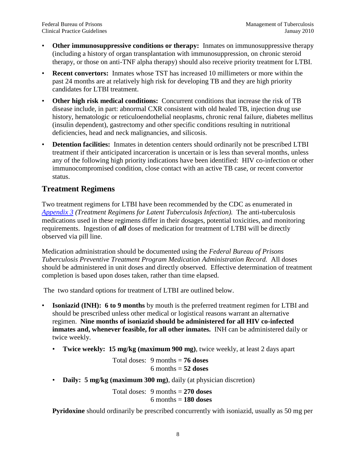- **Other immunosuppressive conditions or therapy:** Inmates on immunosuppressive therapy (including a history of organ transplantation with immunosuppression, on chronic steroid therapy, or those on anti-TNF alpha therapy) should also receive priority treatment for LTBI.
- **Recent convertors:** Inmates whose TST has increased 10 millimeters or more within the past 24 months are at relatively high risk for developing TB and they are high priority candidates for LTBI treatment.
- **Other high risk medical conditions:** Concurrent conditions that increase the risk of TB disease include, in part: abnormal CXR consistent with old healed TB, injection drug use history, hematologic or reticuloendothelial neoplasms, chronic renal failure, diabetes mellitus (insulin dependent), gastrectomy and other specific conditions resulting in nutritional deficiencies, head and neck malignancies, and silicosis.
- **Detention facilities:** Inmates in detention centers should ordinarily not be prescribed LTBI treatment if their anticipated incarceration is uncertain or is less than several months, unless any of the following high priority indications have been identified: HIV co-infection or other immunocompromised condition, close contact with an active TB case, or recent convertor status.

## <span id="page-12-0"></span>**Treatment Regimens**

Two treatment regimens for LTBI have been recommended by the CDC as enumerated in *[Appendix 3](#page-41-0) (Treatment Regimens for Latent Tuberculosis Infection).* The anti-tuberculosis medications used in these regimens differ in their dosages, potential toxicities, and monitoring requirements. Ingestion of *all* doses of medication for treatment of LTBI will be directly observed via pill line.

Medication administration should be documented using the *Federal Bureau of Prisons Tuberculosis Preventive Treatment Program Medication Administration Record.* All doses should be administered in unit doses and directly observed. Effective determination of treatment completion is based upon doses taken, rather than time elapsed.

The two standard options for treatment of LTBI are outlined below.

- **Isoniazid (INH): 6 to 9 months** by mouth is the preferred treatment regimen for LTBI and should be prescribed unless other medical or logistical reasons warrant an alternative regimen. **Nine months of isoniazid should be administered for all HIV co-infected inmates and, whenever feasible, for all other inmates.** INH can be administered daily or twice weekly.
	- **Twice weekly: 15 mg/kg (maximum 900 mg)**, twice weekly, at least 2 days apart

Total doses: 9 months = **76 doses**  $6$  months  $=$   $52$  doses

• **Daily: 5 mg/kg (maximum 300 mg)**, daily (at physician discretion)

Total doses: 9 months = **270 doses** 6 months = **180 doses**

**Pyridoxine** should ordinarily be prescribed concurrently with isoniazid, usually as 50 mg per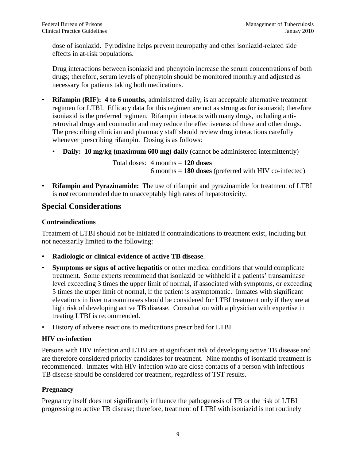dose of isoniazid. Pyrodixine helps prevent neuropathy and other isoniazid-related side effects in at-risk populations.

Drug interactions between isoniazid and phenytoin increase the serum concentrations of both drugs; therefore, serum levels of phenytoin should be monitored monthly and adjusted as necessary for patients taking both medications.

- **Rifampin (RIF): 4 to 6 months**, administered daily, is an acceptable alternative treatment regimen for LTBI. Efficacy data for this regimen are not as strong as for isoniazid; therefore isoniazid is the preferred regimen. Rifampin interacts with many drugs, including antiretroviral drugs and coumadin and may reduce the effectiveness of these and other drugs. The prescribing clinician and pharmacy staff should review drug interactions carefully whenever prescribing rifampin. Dosing is as follows:
	- **Daily:** 10 mg/kg (maximum 600 mg) daily (cannot be administered intermittently)

Total doses: 4 months = **120 doses** 6 months = **180 doses** (preferred with HIV co-infected)

• **Rifampin and Pyrazinamide:** The use of rifampin and pyrazinamide for treatment of LTBI is *not* recommended due to unacceptably high rates of hepatotoxicity.

## <span id="page-13-0"></span>**Special Considerations**

### <span id="page-13-1"></span>**Contraindications**

Treatment of LTBI should not be initiated if contraindications to treatment exist, including but not necessarily limited to the following:

- **Radiologic or clinical evidence of active TB disease**.
- **Symptoms or signs of active hepatitis** or other medical conditions that would complicate treatment. Some experts recommend that isoniazid be withheld if a patients' transaminase level exceeding 3 times the upper limit of normal, if associated with symptoms, or exceeding 5 times the upper limit of normal, if the patient is asymptomatic. Inmates with significant elevations in liver transaminases should be considered for LTBI treatment only if they are at high risk of developing active TB disease. Consultation with a physician with expertise in treating LTBI is recommended.
- History of adverse reactions to medications prescribed for LTBI.

## <span id="page-13-2"></span>**HIV co-infection**

Persons with HIV infection and LTBI are at significant risk of developing active TB disease and are therefore considered priority candidates for treatment. Nine months of isoniazid treatment is recommended. Inmates with HIV infection who are close contacts of a person with infectious TB disease should be considered for treatment, regardless of TST results.

### <span id="page-13-3"></span>**Pregnancy**

Pregnancy itself does not significantly influence the pathogenesis of TB or the risk of LTBI progressing to active TB disease; therefore, treatment of LTBI with isoniazid is not routinely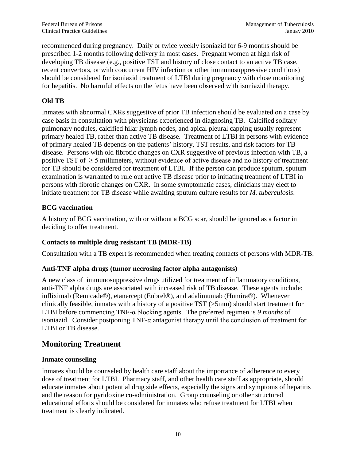recommended during pregnancy. Daily or twice weekly isoniazid for 6-9 months should be prescribed 1-2 months following delivery in most cases. Pregnant women at high risk of developing TB disease (e.g., positive TST and history of close contact to an active TB case, recent convertors, or with concurrent HIV infection or other immunosuppressive conditions) should be considered for isoniazid treatment of LTBI during pregnancy with close monitoring for hepatitis. No harmful effects on the fetus have been observed with isoniazid therapy.

### <span id="page-14-0"></span>**Old TB**

Inmates with abnormal CXRs suggestive of prior TB infection should be evaluated on a case by case basis in consultation with physicians experienced in diagnosing TB. Calcified solitary pulmonary nodules, calcified hilar lymph nodes, and apical pleural capping usually represent primary healed TB, rather than active TB disease. Treatment of LTBI in persons with evidence of primary healed TB depends on the patients' history, TST results, and risk factors for TB disease. Persons with old fibrotic changes on CXR suggestive of previous infection with TB, a positive TST of ≥ 5 millimeters, without evidence of active disease and no history of treatment for TB should be considered for treatment of LTBI. If the person can produce sputum, sputum examination is warranted to rule out active TB disease prior to initiating treatment of LTBI in persons with fibrotic changes on CXR. In some symptomatic cases, clinicians may elect to initiate treatment for TB disease while awaiting sputum culture results for *M. tuberculosis*.

### <span id="page-14-1"></span>**BCG vaccination**

A history of BCG vaccination, with or without a BCG scar, should be ignored as a factor in deciding to offer treatment.

### <span id="page-14-2"></span>**Contacts to multiple drug resistant TB (MDR-TB)**

Consultation with a TB expert is recommended when treating contacts of persons with MDR-TB.

#### <span id="page-14-3"></span>**Anti-TNF alpha drugs (tumor necrosing factor alpha antagonists)**

A new class of immunosuppressive drugs utilized for treatment of inflammatory conditions, anti-TNF alpha drugs are associated with increased risk of TB disease. These agents include: infliximab (Remicade®), etanercept (Enbrel®), and adalimumab (Humira®). Whenever clinically feasible, inmates with a history of a positive TST (>5mm) should start treatment for LTBI before commencing TNF-α blocking agents. The preferred regimen is *9 months* of isoniazid. Consider postponing TNF-α antagonist therapy until the conclusion of treatment for LTBI or TB disease.

## <span id="page-14-4"></span>**Monitoring Treatment**

#### <span id="page-14-5"></span>**Inmate counseling**

Inmates should be counseled by health care staff about the importance of adherence to every dose of treatment for LTBI. Pharmacy staff, and other health care staff as appropriate, should educate inmates about potential drug side effects, especially the signs and symptoms of hepatitis and the reason for pyridoxine co-administration. Group counseling or other structured educational efforts should be considered for inmates who refuse treatment for LTBI when treatment is clearly indicated.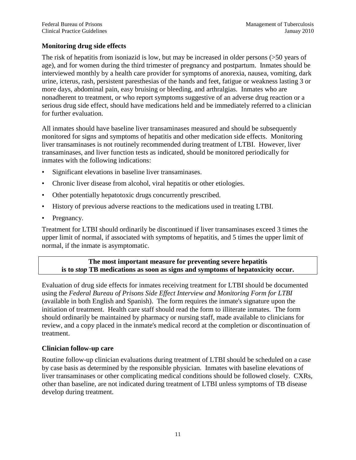### <span id="page-15-0"></span>**Monitoring drug side effects**

The risk of hepatitis from isoniazid is low, but may be increased in older persons (>50 years of age), and for women during the third trimester of pregnancy and postpartum. Inmates should be interviewed monthly by a health care provider for symptoms of anorexia, nausea, vomiting, dark urine, icterus, rash, persistent paresthesias of the hands and feet, fatigue or weakness lasting 3 or more days, abdominal pain, easy bruising or bleeding, and arthralgias. Inmates who are nonadherent to treatment, or who report symptoms suggestive of an adverse drug reaction or a serious drug side effect, should have medications held and be immediately referred to a clinician for further evaluation.

All inmates should have baseline liver transaminases measured and should be subsequently monitored for signs and symptoms of hepatitis and other medication side effects. Monitoring liver transaminases is not routinely recommended during treatment of LTBI. However, liver transaminases, and liver function tests as indicated, should be monitored periodically for inmates with the following indications:

- Significant elevations in baseline liver transaminases.
- Chronic liver disease from alcohol, viral hepatitis or other etiologies.
- Other potentially hepatotoxic drugs concurrently prescribed.
- History of previous adverse reactions to the medications used in treating LTBI.
- Pregnancy.

Treatment for LTBI should ordinarily be discontinued if liver transaminases exceed 3 times the upper limit of normal, if associated with symptoms of hepatitis, and 5 times the upper limit of normal, if the inmate is asymptomatic.

### **The most important measure for preventing severe hepatitis is to** *stop* **TB medications as soon as signs and symptoms of hepatoxicity occur.**

Evaluation of drug side effects for inmates receiving treatment for LTBI should be documented using the *Federal Bureau of Prisons Side Effect Interview and Monitoring Form for LTBI*  (available in both English and Spanish). The form requires the inmate's signature upon the initiation of treatment. Health care staff should read the form to illiterate inmates. The form should ordinarily be maintained by pharmacy or nursing staff, made available to clinicians for review, and a copy placed in the inmate's medical record at the completion or discontinuation of treatment.

### <span id="page-15-1"></span>**Clinician follow-up care**

Routine follow-up clinician evaluations during treatment of LTBI should be scheduled on a case by case basis as determined by the responsible physician. Inmates with baseline elevations of liver transaminases or other complicating medical conditions should be followed closely. CXRs, other than baseline, are not indicated during treatment of LTBI unless symptoms of TB disease develop during treatment.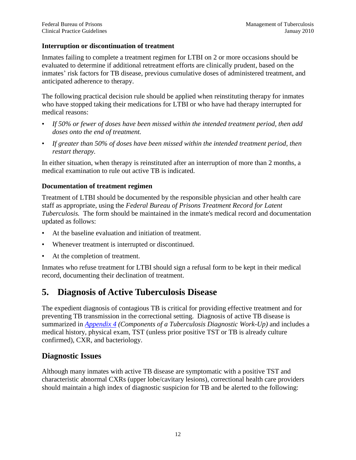#### <span id="page-16-0"></span>**Interruption or discontinuation of treatment**

Inmates failing to complete a treatment regimen for LTBI on 2 or more occasions should be evaluated to determine if additional retreatment efforts are clinically prudent, based on the inmates' risk factors for TB disease, previous cumulative doses of administered treatment, and anticipated adherence to therapy.

The following practical decision rule should be applied when reinstituting therapy for inmates who have stopped taking their medications for LTBI or who have had therapy interrupted for medical reasons:

- *If 50% or fewer of doses have been missed within the intended treatment period, then add doses onto the end of treatment.*
- *If greater than 50% of doses have been missed within the intended treatment period, then restart therapy.*

In either situation, when therapy is reinstituted after an interruption of more than 2 months, a medical examination to rule out active TB is indicated.

#### <span id="page-16-1"></span>**Documentation of treatment regimen**

Treatment of LTBI should be documented by the responsible physician and other health care staff as appropriate, using the *Federal Bureau of Prisons Treatment Record for Latent Tuberculosis.* The form should be maintained in the inmate's medical record and documentation updated as follows:

- At the baseline evaluation and initiation of treatment.
- Whenever treatment is interrupted or discontinued.
- At the completion of treatment.

Inmates who refuse treatment for LTBI should sign a refusal form to be kept in their medical record, documenting their declination of treatment.

## <span id="page-16-2"></span>**5. Diagnosis of Active Tuberculosis Disease**

The expedient diagnosis of contagious TB is critical for providing effective treatment and for preventing TB transmission in the correctional setting. Diagnosis of active TB disease is summarized in *[Appendix 4](#page-42-0) (Components of a Tuberculosis Diagnostic Work-Up)* and includes a medical history, physical exam, TST (unless prior positive TST or TB is already culture confirmed), CXR, and bacteriology.

## <span id="page-16-3"></span>**Diagnostic Issues**

Although many inmates with active TB disease are symptomatic with a positive TST and characteristic abnormal CXRs (upper lobe/cavitary lesions), correctional health care providers should maintain a high index of diagnostic suspicion for TB and be alerted to the following: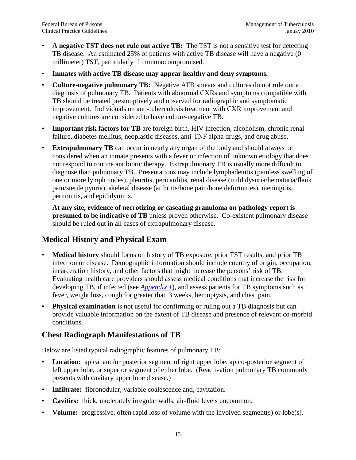- **A negative TST does not rule out active TB:** The TST is not a sensitive test for detecting TB disease. An estimated 25% of patients with active TB disease will have a negative (0 millimeter) TST, particularly if immunocompromised.
- **Inmates with active TB disease may appear healthy and deny symptoms.**
- **Culture-negative pulmonary TB:** Negative AFB smears and cultures do not rule out a diagnosis of pulmonary TB. Patients with abnormal CXRs and symptoms compatible with TB should be treated presumptively and observed for radiographic and symptomatic improvement. Individuals on anti-tuberculosis treatment with CXR improvement and negative cultures are considered to have culture-negative TB.
- **Important risk factors for TB** are foreign birth, HIV infection, alcoholism, chronic renal failure, diabetes mellitus, neoplastic diseases, anti-TNF alpha drugs, and drug abuse.
- **Extrapulmonary TB** can occur in nearly any organ of the body and should always be considered when an inmate presents with a fever or infection of unknown etiology that does not respond to routine antibiotic therapy. Extrapulmonary TB is usually more difficult to diagnose than pulmonary TB. Presentations may include lymphadenitis (painless swelling of one or more lymph nodes), pleuritis, pericarditis, renal disease (mild dysuria/hematuria/flank pain/sterile pyuria), skeletal disease (arthritis/bone pain/bone deformities), meningitis, peritonitis, and epididymitis.

**At any site, evidence of necrotizing or caseating granuloma on pathology report is presumed to be indicative of TB** unless proven otherwise. Co-existent pulmonary disease should be ruled out in all cases of extrapulmonary disease.

## <span id="page-17-0"></span>**Medical History and Physical Exam**

- **Medical history** should focus on history of TB exposure, prior TST results, and prior TB infection or disease. Demographic information should include country of origin, occupation, incarceration history, and other factors that might increase the persons' risk of TB. Evaluating health care providers should assess medical conditions that increase the risk for developing TB, if infected (see *[Appendix 1](#page-39-0)*), and assess patients for TB symptoms such as fever, weight loss, cough for greater than 3 weeks, hemoptysis, and chest pain.
- **Physical examination** is not useful for confirming or ruling out a TB diagnosis but can provide valuable information on the extent of TB disease and presence of relevant co-morbid conditions.

## <span id="page-17-1"></span>**Chest Radiograph Manifestations of TB**

Below are listed typical radiographic features of pulmonary TB:

- **Location:** apical and/or posterior segment of right upper lobe, apico-posterior segment of left upper lobe, or superior segment of either lobe. (Reactivation pulmonary TB commonly presents with cavitary upper lobe disease.)
- **Infiltrate:** fibronodular, variable coalescence and, cavitation.
- **Cavities:** thick, moderately irregular walls; air-fluid levels uncommon.
- **Volume:** progressive, often rapid loss of volume with the involved segment(s) or lobe(s).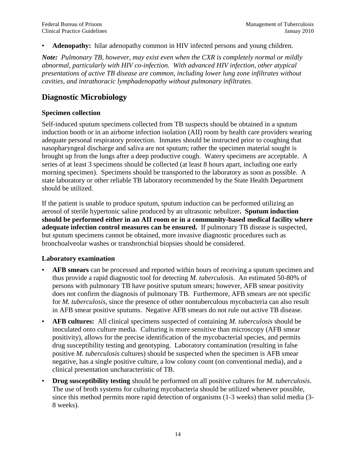Adenopathy: hilar adenopathy common in HIV infected persons and young children.

*Note: Pulmonary TB, however, may exist even when the CXR is completely normal or mildly abnormal, particularly with HIV co-infection. With advanced HIV infection, other atypical presentations of active TB disease are common, including lower lung zone infiltrates without cavities, and intrathoracic lymphadenopathy without pulmonary infiltrates.*

## <span id="page-18-0"></span>**Diagnostic Microbiology**

#### <span id="page-18-1"></span>**Specimen collection**

Self-induced sputum specimens collected from TB suspects should be obtained in a sputum induction booth or in an airborne infection isolation (AII) room by health care providers wearing adequate personal respiratory protection. Inmates should be instructed prior to coughing that nasopharyngeal discharge and saliva are not sputum; rather the specimen material sought is brought up from the lungs after a deep productive cough. Watery specimens are acceptable. A series of at least 3 specimens should be collected (at least 8 hours apart, including one early morning specimen). Specimens should be transported to the laboratory as soon as possible. A state laboratory or other reliable TB laboratory recommended by the State Health Department should be utilized.

If the patient is unable to produce sputum, sputum induction can be performed utilizing an aerosol of sterile hypertonic saline produced by an ultrasonic nebulizer**. Sputum induction should be performed either in an AII room or in a community-based medical facility where adequate infection control measures can be ensured.** If pulmonary TB disease is suspected, but sputum specimens cannot be obtained, more invasive diagnostic procedures such as bronchoalveolar washes or transbronchial biopsies should be considered.

#### <span id="page-18-2"></span>**Laboratory examination**

- **AFB smears** can be processed and reported within hours of receiving a sputum specimen and thus provide a rapid diagnostic tool for detecting *M. tuberculosis*. An estimated 50-80% of persons with pulmonary TB have positive sputum smears; however, AFB smear positivity does not confirm the diagnosis of pulmonary TB. Furthermore, AFB smears are not specific for *M. tuberculosis*, since the presence of other nontuberculous mycobacteria can also result in AFB smear positive sputums. Negative AFB smears do not rule out active TB disease.
- **AFB cultures:** All clinical specimens suspected of containing *M. tuberculosis* should be inoculated onto culture media. Culturing is more sensitive than microscopy (AFB smear positivity), allows for the precise identification of the mycobacterial species, and permits drug susceptibility testing and genotyping. Laboratory contamination (resulting in false positive *M. tuberculosis* cultures) should be suspected when the specimen is AFB smear negative, has a single positive culture, a low colony count (on conventional media), and a clinical presentation uncharacteristic of TB.
- **Drug susceptibility testing** should be performed on all positive cultures for *M. tuberculosis*. The use of broth systems for culturing mycobacteria should be utilized whenever possible, since this method permits more rapid detection of organisms (1-3 weeks) than solid media (3- 8 weeks).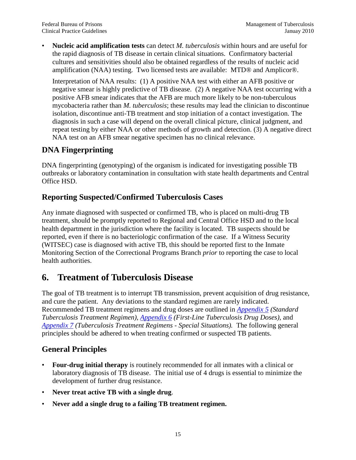• **Nucleic acid amplification tests** can detect *M. tuberculosis* within hours and are useful for the rapid diagnosis of TB disease in certain clinical situations. Confirmatory bacterial cultures and sensitivities should also be obtained regardless of the results of nucleic acid amplification (NAA) testing. Two licensed tests are available: MTD® and Amplicor®.

Interpretation of NAA results: (1) A positive NAA test with either an AFB positive or negative smear is highly predictive of TB disease. (2) A negative NAA test occurring with a positive AFB smear indicates that the AFB are much more likely to be non-tuberculous mycobacteria rather than *M. tuberculosis*; these results may lead the clinician to discontinue isolation, discontinue anti-TB treatment and stop initiation of a contact investigation. The diagnosis in such a case will depend on the overall clinical picture, clinical judgment, and repeat testing by either NAA or other methods of growth and detection. (3) A negative direct NAA test on an AFB smear negative specimen has no clinical relevance.

## <span id="page-19-0"></span>**DNA Fingerprinting**

DNA fingerprinting (genotyping) of the organism is indicated for investigating possible TB outbreaks or laboratory contamination in consultation with state health departments and Central Office HSD.

## <span id="page-19-1"></span>**Reporting Suspected/Confirmed Tuberculosis Cases**

Any inmate diagnosed with suspected or confirmed TB, who is placed on multi-drug TB treatment, should be promptly reported to Regional and Central Office HSD and to the local health department in the jurisdiction where the facility is located. TB suspects should be reported, even if there is no bacteriologic confirmation of the case. If a Witness Security (WITSEC) case is diagnosed with active TB, this should be reported first to the Inmate Monitoring Section of the Correctional Programs Branch *prior* to reporting the case to local health authorities.

## <span id="page-19-2"></span>**6. Treatment of Tuberculosis Disease**

The goal of TB treatment is to interrupt TB transmission, prevent acquisition of drug resistance, and cure the patient. Any deviations to the standard regimen are rarely indicated. Recommended TB treatment regimens and drug doses are outlined in *[Appendix 5](#page-43-0) (Standard Tuberculosis Treatment Regimen), [Appendix 6](#page-44-0) (First-Line Tuberculosis Drug Doses),* and *[Appendix 7](#page-45-0) (Tuberculosis Treatment Regimens - Special Situations).* The following general principles should be adhered to when treating confirmed or suspected TB patients.

## <span id="page-19-3"></span>**General Principles**

- **Four-drug initial therapy** is routinely recommended for all inmates with a clinical or laboratory diagnosis of TB disease. The initial use of 4 drugs is essential to minimize the development of further drug resistance.
- **Never treat active TB with a single drug**.
- **Never add a single drug to a failing TB treatment regimen.**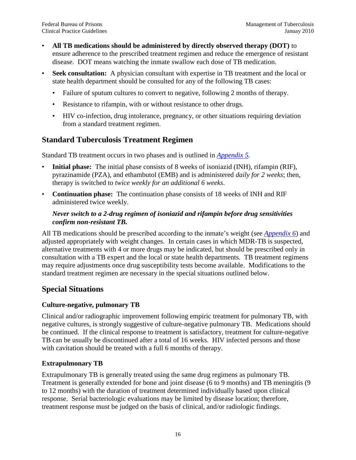- **All TB medications should be administered by directly observed therapy (DOT)** to ensure adherence to the prescribed treatment regimen and reduce the emergence of resistant disease. DOT means watching the inmate swallow each dose of TB medication.
- **Seek consultation:** A physician consultant with expertise in TB treatment and the local or state health department should be consulted for any of the following TB cases:
	- Failure of sputum cultures to convert to negative, following 2 months of therapy.
	- Resistance to rifampin, with or without resistance to other drugs.
	- HIV co-infection, drug intolerance, pregnancy, or other situations requiring deviation from a standard treatment regimen.

## <span id="page-20-0"></span>**Standard Tuberculosis Treatment Regimen**

Standard TB treatment occurs in two phases and is outlined in *[Appendix 5.](#page-43-0)*

- **Initial phase:** The initial phase consists of 8 weeks of isoniazid (INH), rifampin (RIF), pyrazinamide (PZA), and ethambutol (EMB) and is administered *daily for 2 weeks*; then, therapy is switched to *twice weekly for an additional 6 weeks*.
- **Continuation phase:** The continuation phase consists of 18 weeks of INH and RIF administered twice weekly.

### *Never switch to a 2-drug regimen of isoniazid and rifampin before drug sensitivities confirm non-resistant TB.*

All TB medications should be prescribed according to the inmate's weight (see *[Appendix 6](#page-44-0)*) and adjusted appropriately with weight changes. In certain cases in which MDR-TB is suspected, alternative treatments with 4 or more drugs may be indicated, but should be prescribed only in consultation with a TB expert and the local or state health departments. TB treatment regimens may require adjustments once drug susceptibility tests become available. Modifications to the standard treatment regimen are necessary in the special situations outlined below.

## <span id="page-20-1"></span>**Special Situations**

### <span id="page-20-2"></span>**Culture-negative, pulmonary TB**

Clinical and/or radiographic improvement following empiric treatment for pulmonary TB, with negative cultures, is strongly suggestive of culture-negative pulmonary TB. Medications should be continued. If the clinical response to treatment is satisfactory, treatment for culture-negative TB can be usually be discontinued after a total of 16 weeks. HIV infected persons and those with cavitation should be treated with a full 6 months of therapy.

### <span id="page-20-3"></span>**Extrapulmonary TB**

<span id="page-20-4"></span>Extrapulmonary TB is generally treated using the same drug regimens as pulmonary TB. Treatment is generally extended for bone and joint disease (6 to 9 months) and TB meningitis (9 to 12 months) with the duration of treatment determined individually based upon clinical response. Serial bacteriologic evaluations may be limited by disease location; therefore, treatment response must be judged on the basis of clinical, and/or radiologic findings.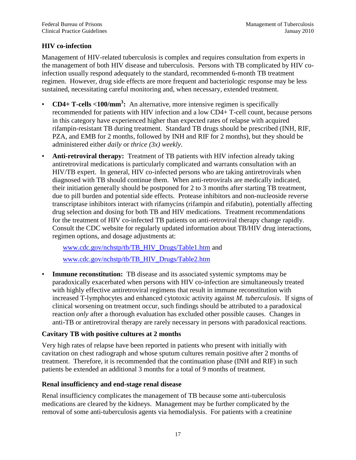### **HIV co-infection**

Management of HIV-related tuberculosis is complex and requires consultation from experts in the management of both HIV disease and tuberculosis. Persons with TB complicated by HIV coinfection usually respond adequately to the standard, recommended 6-month TB treatment regimen. However, drug side effects are more frequent and bacteriologic response may be less sustained, necessitating careful monitoring and, when necessary, extended treatment.

- **CD4+ T-cells <100/mm<sup>3</sup> :** An alternative, more intensive regimen is specifically recommended for patients with HIV infection and a low CD4+ T-cell count, because persons in this category have experienced higher than expected rates of relapse with acquired rifampin-resistant TB during treatment. Standard TB drugs should be prescribed (INH, RIF, PZA, and EMB for 2 months, followed by INH and RIF for 2 months), but they should be administered either *daily* or *thrice (3x) weekly*.
- **Anti-retroviral therapy:** Treatment of TB patients with HIV infection already taking antiretroviral medications is particularly complicated and warrants consultation with an HIV/TB expert. In general, HIV co-infected persons who are taking antiretrovirals when diagnosed with TB should continue them. When anti-retrovirals are medically indicated, their initiation generally should be postponed for 2 to 3 months after starting TB treatment, due to pill burden and potential side effects. Protease inhibitors and non-nucleoside reverse transcriptase inhibitors interact with rifamycins (rifampin and rifabutin), potentially affecting drug selection and dosing for both TB and HIV medications. Treatment recommendations for the treatment of HIV co-infected TB patients on anti-retroviral therapy change rapidly. Consult the CDC website for regularly updated information about TB/HIV drug interactions, regimen options, and dosage adjustments at:

[www.cdc.gov/nchstp/tb/TB\\_HIV\\_Drugs/Table1.htm](http://www.cdc.gov/nchstp/tb/TB_HIV_Drugs/Table1.htm) and [www.cdc.gov/nchstp/tb/TB\\_HIV\\_Drugs/Table2.htm](http://www.cdc.gov/nchstp/tb/TB_HIV_Drugs/Table2.htm)

**Immune reconstitution:** TB disease and its associated systemic symptoms may be paradoxically exacerbated when persons with HIV co-infection are simultaneously treated with highly effective antiretroviral regimens that result in immune reconstitution with increased T-lymphocytes and enhanced cytotoxic activity against *M. tuberculosis*. If signs of clinical worsening on treatment occur, such findings should be attributed to a paradoxical reaction *only* after a thorough evaluation has excluded other possible causes. Changes in anti-TB or antiretroviral therapy are rarely necessary in persons with paradoxical reactions.

### <span id="page-21-0"></span>**Cavitary TB with positive cultures at 2 months**

Very high rates of relapse have been reported in patients who present with initially with cavitation on chest radiograph and whose sputum cultures remain positive after 2 months of treatment. Therefore, it is recommended that the continuation phase (INH and RIF) in such patients be extended an additional 3 months for a total of 9 months of treatment.

### <span id="page-21-1"></span>**Renal insufficiency and end-stage renal disease**

Renal insufficiency complicates the management of TB because some anti-tuberculosis medications are cleared by the kidneys. Management may be further complicated by the removal of some anti-tuberculosis agents via hemodialysis. For patients with a creatinine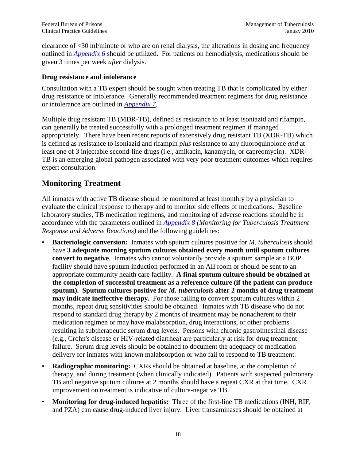clearance of <30 ml/minute or who are on renal dialysis, the alterations in dosing and frequency outlined in *[Appendix 6](#page-44-0)* should be utilized. For patients on hemodialysis, medications should be given 3 times per week *after* dialysis.

#### <span id="page-22-0"></span>**Drug resistance and intolerance**

Consultation with a TB expert should be sought when treating TB that is complicated by either drug resistance or intolerance. Generally recommended treatment regimens for drug resistance or intolerance are outlined in *[Appendix 7.](#page-45-0)*

Multiple drug resistant TB (MDR-TB), defined as resistance to at least isoniazid and rifampin, can generally be treated successfully with a prolonged treatment regimen if managed appropriately. There have been recent reports of extensively drug resistant TB (XDR-TB) which is defined as resistance to isoniazid and rifampin *plus* resistance to any fluoroquinolone *and* at least one of 3 injectable second-line drugs (i.e., amikacin, kanamycin, or capreomycin). XDR-TB is an emerging global pathogen associated with very poor treatment outcomes which requires expert consultation.

## <span id="page-22-1"></span>**Monitoring Treatment**

All inmates with active TB disease should be monitored at least monthly by a physician to evaluate the clinical response to therapy and to monitor side effects of medications. Baseline laboratory studies, TB medication regimens, and monitoring of adverse reactions should be in accordance with the parameters outlined in *Appendix 8 (Monitoring for Tuberculosis Treatment Response and Adverse Reactions)* and the following guidelines:

- **Bacteriologic conversion:** Inmates with sputum cultures positive for *M. tuberculosis* should have **3 adequate morning sputum cultures obtained every month until sputum cultures convert to negative**. Inmates who cannot voluntarily provide a sputum sample at a BOP facility should have sputum induction performed in an AII room or should be sent to an appropriate community health care facility. **A final sputum culture should be obtained at the completion of successful treatment as a reference culture (if the patient can produce sputum). Sputum cultures positive for** *M. tuberculosis* **after 2 months of drug treatment may indicate ineffective therapy.** For those failing to convert sputum cultures within 2 months, repeat drug sensitivities should be obtained. Inmates with TB disease who do not respond to standard drug therapy by 2 months of treatment may be nonadherent to their medication regimen or may have malabsorption, drug interactions, or other problems resulting in subtherapeutic serum drug levels. Persons with chronic gastrointestinal disease (e.g., Crohn's disease or HIV-related diarrhea) are particularly at risk for drug treatment failure. Serum drug levels should be obtained to document the adequacy of medication delivery for inmates with known malabsorption or who fail to respond to TB treatment.
- **Radiographic monitoring:** CXRs should be obtained at baseline, at the completion of therapy, and during treatment (when clinically indicated). Patients with suspected pulmonary TB and negative sputum cultures at 2 months should have a repeat CXR at that time. CXR improvement on treatment is indicative of culture-negative TB.
- **Monitoring for drug-induced hepatitis:** Three of the first-line TB medications (INH, RIF, and PZA) can cause drug-induced liver injury. Liver transaminases should be obtained at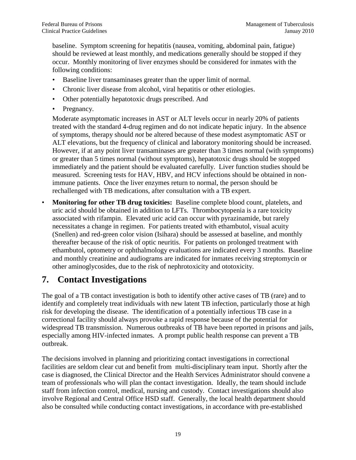baseline. Symptom screening for hepatitis (nausea, vomiting, abdominal pain, fatigue) should be reviewed at least monthly, and medications generally should be stopped if they occur. Monthly monitoring of liver enzymes should be considered for inmates with the following conditions:

- Baseline liver transaminases greater than the upper limit of normal.
- Chronic liver disease from alcohol, viral hepatitis or other etiologies.
- Other potentially hepatotoxic drugs prescribed. And
- Pregnancy.

Moderate asymptomatic increases in AST or ALT levels occur in nearly 20% of patients treated with the standard 4-drug regimen and do not indicate hepatic injury. In the absence of symptoms, therapy should *not* be altered because of these modest asymptomatic AST or ALT elevations, but the frequency of clinical and laboratory monitoring should be increased. However, if at any point liver transaminases are greater than 3 times normal (with symptoms) or greater than 5 times normal (without symptoms), hepatotoxic drugs should be stopped immediately and the patient should be evaluated carefully. Liver function studies should be measured. Screening tests for HAV, HBV, and HCV infections should be obtained in nonimmune patients. Once the liver enzymes return to normal, the person should be rechallenged with TB medications, after consultation with a TB expert.

• **Monitoring for other TB drug toxicities:** Baseline complete blood count, platelets, and uric acid should be obtained in addition to LFTs. Thrombocytopenia is a rare toxicity associated with rifampin. Elevated uric acid can occur with pyrazinamide, but rarely necessitates a change in regimen. For patients treated with ethambutol, visual acuity (Snellen) and red-green color vision (Isihara) should be assessed at baseline, and monthly thereafter because of the risk of optic neuritis. For patients on prolonged treatment with ethambutol, optometry or ophthalmology evaluations are indicated every 3 months. Baseline and monthly creatinine and audiograms are indicated for inmates receiving streptomycin or other aminoglycosides, due to the risk of nephrotoxicity and ototoxicity.

## <span id="page-23-0"></span>**7. Contact Investigations**

The goal of a TB contact investigation is both to identify other active cases of TB (rare) and to identify and completely treat individuals with new latent TB infection, particularly those at high risk for developing the disease. The identification of a potentially infectious TB case in a correctional facility should always provoke a rapid response because of the potential for widespread TB transmission. Numerous outbreaks of TB have been reported in prisons and jails, especially among HIV-infected inmates. A prompt public health response can prevent a TB outbreak.

The decisions involved in planning and prioritizing contact investigations in correctional facilities are seldom clear cut and benefit from multi-disciplinary team input. Shortly after the case is diagnosed, the Clinical Director and the Health Services Administrator should convene a team of professionals who will plan the contact investigation. Ideally, the team should include staff from infection control, medical, nursing and custody. Contact investigations should also involve Regional and Central Office HSD staff. Generally, the local health department should also be consulted while conducting contact investigations, in accordance with pre-established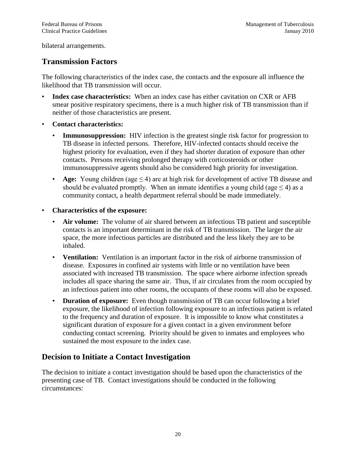bilateral arrangements.

## <span id="page-24-0"></span>**Transmission Factors**

The following characteristics of the index case, the contacts and the exposure all influence the likelihood that TB transmission will occur.

- **Index case characteristics:** When an index case has either cavitation on CXR or AFB smear positive respiratory specimens, there is a much higher risk of TB transmission than if neither of those characteristics are present.
- **Contact characteristics:** 
	- **Immunosuppression:** HIV infection is the greatest single risk factor for progression to TB disease in infected persons. Therefore, HIV-infected contacts should receive the highest priority for evaluation, even if they had shorter duration of exposure than other contacts. Persons receiving prolonged therapy with corticosteroids or other immunosuppressive agents should also be considered high priority for investigation.
	- **Age:** Young children (age ≤ 4) are at high risk for development of active TB disease and should be evaluated promptly. When an inmate identifies a young child (age  $\leq$  4) as a community contact, a health department referral should be made immediately.
- **Characteristics of the exposure:**
	- **Air volume:** The volume of air shared between an infectious TB patient and susceptible contacts is an important determinant in the risk of TB transmission. The larger the air space, the more infectious particles are distributed and the less likely they are to be inhaled.
	- **Ventilation:** Ventilation is an important factor in the risk of airborne transmission of disease. Exposures in confined air systems with little or no ventilation have been associated with increased TB transmission. The space where airborne infection spreads includes all space sharing the same air. Thus, if air circulates from the room occupied by an infectious patient into other rooms, the occupants of these rooms will also be exposed.
	- **Duration of exposure:** Even though transmission of TB can occur following a brief exposure, the likelihood of infection following exposure to an infectious patient is related to the frequency and duration of exposure. It is impossible to know what constitutes a significant duration of exposure for a given contact in a given environment before conducting contact screening. Priority should be given to inmates and employees who sustained the most exposure to the index case.

## <span id="page-24-1"></span>**Decision to Initiate a Contact Investigation**

The decision to initiate a contact investigation should be based upon the characteristics of the presenting case of TB. Contact investigations should be conducted in the following circumstances: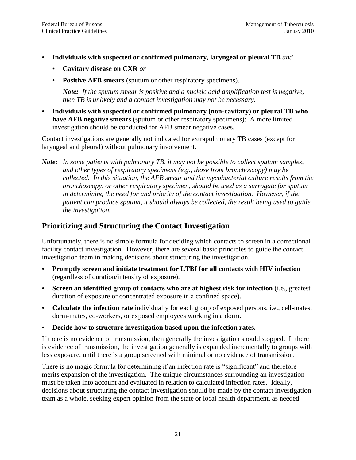- **Individuals with suspected or confirmed pulmonary, laryngeal or pleural TB** *and*
	- **Cavitary disease on CXR** *or*
	- **Positive AFB smears** (sputum or other respiratory specimens).

*Note: If the sputum smear is positive and a nucleic acid amplification test is negative, then TB is unlikely and a contact investigation may not be necessary.*

• **Individuals with suspected or confirmed pulmonary (non-cavitary) or pleural TB who have AFB negative smears** (sputum or other respiratory specimens): A more limited investigation should be conducted for AFB smear negative cases.

Contact investigations are generally not indicated for extrapulmonary TB cases (except for laryngeal and pleural) without pulmonary involvement.

*Note: In some patients with pulmonary TB, it may not be possible to collect sputum samples, and other types of respiratory specimens (e.g., those from bronchoscopy) may be collected. In this situation, the AFB smear and the mycobacterial culture results from the bronchoscopy, or other respiratory specimen, should be used as a surrogate for sputum in determining the need for and priority of the contact investigation. However, if the patient can produce sputum, it should always be collected, the result being used to guide the investigation.* 

## <span id="page-25-0"></span>**Prioritizing and Structuring the Contact Investigation**

Unfortunately, there is no simple formula for deciding which contacts to screen in a correctional facility contact investigation. However, there are several basic principles to guide the contact investigation team in making decisions about structuring the investigation.

- **Promptly screen and initiate treatment for LTBI for all contacts with HIV infection** (regardless of duration/intensity of exposure).
- **Screen an identified group of contacts who are at highest risk for infection** (i.e., greatest duration of exposure or concentrated exposure in a confined space).
- **Calculate the infection rate** individually for each group of exposed persons, i.e., cell-mates, dorm-mates, co-workers, or exposed employees working in a dorm.
- **Decide how to structure investigation based upon the infection rates.**

If there is no evidence of transmission, then generally the investigation should stopped. If there is evidence of transmission, the investigation generally is expanded incrementally to groups with less exposure, until there is a group screened with minimal or no evidence of transmission.

There is no magic formula for determining if an infection rate is "significant" and therefore merits expansion of the investigation. The unique circumstances surrounding an investigation must be taken into account and evaluated in relation to calculated infection rates. Ideally, decisions about structuring the contact investigation should be made by the contact investigation team as a whole, seeking expert opinion from the state or local health department, as needed.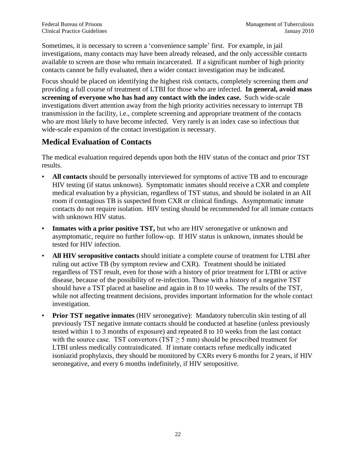Sometimes, it is necessary to screen a 'convenience sample' first. For example, in jail investigations, many contacts may have been already released, and the only accessible contacts available to screen are those who remain incarcerated. If a significant number of high priority contacts cannot be fully evaluated, then a wider contact investigation may be indicated.

Focus should be placed on identifying the highest risk contacts, completely screening them *and* providing a full course of treatment of LTBI for those who are infected. **In general, avoid mass screening of everyone who has had any contact with the index case.** Such wide-scale investigations divert attention away from the high priority activities necessary to interrupt TB transmission in the facility, i.e., complete screening and appropriate treatment of the contacts who are most likely to have become infected. Very rarely is an index case so infectious that wide-scale expansion of the contact investigation is necessary.

## <span id="page-26-0"></span>**Medical Evaluation of Contacts**

The medical evaluation required depends upon both the HIV status of the contact and prior TST results.

- **All contacts** should be personally interviewed for symptoms of active TB and to encourage HIV testing (if status unknown). Symptomatic inmates should receive a CXR and complete medical evaluation by a physician, regardless of TST status, and should be isolated in an AII room if contagious TB is suspected from CXR or clinical findings. Asymptomatic inmate contacts do not require isolation. HIV testing should be recommended for all inmate contacts with unknown HIV status.
- **Inmates with a prior positive TST,** but who are HIV seronegative or unknown and asymptomatic, require no further follow-up. If HIV status is unknown, inmates should be tested for HIV infection.
- **All HIV seropositive contacts** should initiate a complete course of treatment for LTBI after ruling out active TB (by symptom review and CXR). Treatment should be initiated regardless of TST result, even for those with a history of prior treatment for LTBI or active disease, because of the possibility of re-infection. Those with a history of a negative TST should have a TST placed at baseline and again in 8 to 10 weeks. The results of the TST, while not affecting treatment decisions, provides important information for the whole contact investigation.
- **Prior TST negative inmates** (HIV seronegative): Mandatory tuberculin skin testing of all previously TST negative inmate contacts should be conducted at baseline (unless previously tested within 1 to 3 months of exposure) and repeated 8 to 10 weeks from the last contact with the source case. TST convertors (TST  $\geq$  5 mm) should be prescribed treatment for LTBI unless medically contraindicated. If inmate contacts refuse medically indicated isoniazid prophylaxis, they should be monitored by CXRs every 6 months for 2 years, if HIV seronegative, and every 6 months indefinitely, if HIV seropositive.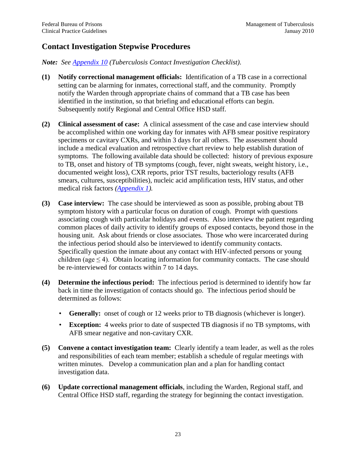## <span id="page-27-0"></span>**Contact Investigation Stepwise Procedures**

*Note: See [Appendix 10](#page-48-0) (Tuberculosis Contact Investigation Checklist).*

- **(1) Notify correctional management officials:** Identification of a TB case in a correctional setting can be alarming for inmates, correctional staff, and the community. Promptly notify the Warden through appropriate chains of command that a TB case has been identified in the institution, so that briefing and educational efforts can begin. Subsequently notify Regional and Central Office HSD staff.
- **(2) Clinical assessment of case:** A clinical assessment of the case and case interview should be accomplished within one working day for inmates with AFB smear positive respiratory specimens or cavitary CXRs, and within 3 days for all others. The assessment should include a medical evaluation and retrospective chart review to help establish duration of symptoms. The following available data should be collected: history of previous exposure to TB, onset and history of TB symptoms (cough, fever, night sweats, weight history, i.e., documented weight loss), CXR reports, prior TST results, bacteriology results (AFB smears, cultures, susceptibilities), nucleic acid amplification tests, HIV status, and other medical risk factors *[\(Appendix 1\)](#page-39-0).*
- **(3) Case interview:** The case should be interviewed as soon as possible, probing about TB symptom history with a particular focus on duration of cough. Prompt with questions associating cough with particular holidays and events. Also interview the patient regarding common places of daily activity to identify groups of exposed contacts, beyond those in the housing unit. Ask about friends or close associates. Those who were incarcerated during the infectious period should also be interviewed to identify community contacts. Specifically question the inmate about any contact with HIV-infected persons or young children (age  $\leq$  4). Obtain locating information for community contacts. The case should be re-interviewed for contacts within 7 to 14 days.
- **(4) Determine the infectious period:** The infectious period is determined to identify how far back in time the investigation of contacts should go. The infectious period should be determined as follows:
	- **Generally:** onset of cough or 12 weeks prior to TB diagnosis (whichever is longer).
	- **Exception:** 4 weeks prior to date of suspected TB diagnosis if no TB symptoms, with AFB smear negative and non-cavitary CXR.
- **(5) Convene a contact investigation team:** Clearly identify a team leader, as well as the roles and responsibilities of each team member; establish a schedule of regular meetings with written minutes. Develop a communication plan and a plan for handling contact investigation data.
- **(6) Update correctional management officials**, including the Warden, Regional staff, and Central Office HSD staff, regarding the strategy for beginning the contact investigation.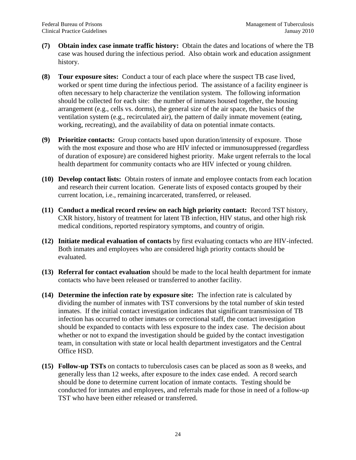- **(7) Obtain index case inmate traffic history:** Obtain the dates and locations of where the TB case was housed during the infectious period. Also obtain work and education assignment history.
- **(8) Tour exposure sites:** Conduct a tour of each place where the suspect TB case lived, worked or spent time during the infectious period. The assistance of a facility engineer is often necessary to help characterize the ventilation system. The following information should be collected for each site: the number of inmates housed together, the housing arrangement (e.g., cells vs. dorms), the general size of the air space, the basics of the ventilation system (e.g., recirculated air), the pattern of daily inmate movement (eating, working, recreating), and the availability of data on potential inmate contacts.
- **(9) Prioritize contacts:** Group contacts based upon duration/intensity of exposure. Those with the most exposure and those who are HIV infected or immunosuppressed (regardless of duration of exposure) are considered highest priority. Make urgent referrals to the local health department for community contacts who are HIV infected or young children.
- **(10) Develop contact lists:** Obtain rosters of inmate and employee contacts from each location and research their current location. Generate lists of exposed contacts grouped by their current location, i.e., remaining incarcerated, transferred, or released.
- **(11) Conduct a medical record review on each high priority contact:** Record TST history, CXR history, history of treatment for latent TB infection, HIV status, and other high risk medical conditions, reported respiratory symptoms, and country of origin.
- **(12) Initiate medical evaluation of contacts** by first evaluating contacts who are HIV-infected. Both inmates and employees who are considered high priority contacts should be evaluated.
- **(13) Referral for contact evaluation** should be made to the local health department for inmate contacts who have been released or transferred to another facility.
- **(14) Determine the infection rate by exposure site:** The infection rate is calculated by dividing the number of inmates with TST conversions by the total number of skin tested inmates. If the initial contact investigation indicates that significant transmission of TB infection has occurred to other inmates or correctional staff, the contact investigation should be expanded to contacts with less exposure to the index case. The decision about whether or not to expand the investigation should be guided by the contact investigation team, in consultation with state or local health department investigators and the Central Office HSD.
- **(15) Follow-up TSTs** on contacts to tuberculosis cases can be placed as soon as 8 weeks, and generally less than 12 weeks, after exposure to the index case ended. A record search should be done to determine current location of inmate contacts. Testing should be conducted for inmates and employees, and referrals made for those in need of a follow-up TST who have been either released or transferred.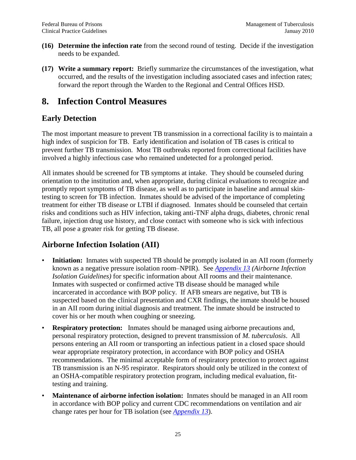- **(16) Determine the infection rate** from the second round of testing. Decide if the investigation needs to be expanded.
- **(17) Write a summary report:** Briefly summarize the circumstances of the investigation, what occurred, and the results of the investigation including associated cases and infection rates; forward the report through the Warden to the Regional and Central Offices HSD.

## <span id="page-29-0"></span>**8. Infection Control Measures**

## <span id="page-29-1"></span>**Early Detection**

The most important measure to prevent TB transmission in a correctional facility is to maintain a high index of suspicion for TB. Early identification and isolation of TB cases is critical to prevent further TB transmission. Most TB outbreaks reported from correctional facilities have involved a highly infectious case who remained undetected for a prolonged period.

All inmates should be screened for TB symptoms at intake. They should be counseled during orientation to the institution and, when appropriate, during clinical evaluations to recognize and promptly report symptoms of TB disease, as well as to participate in baseline and annual skintesting to screen for TB infection. Inmates should be advised of the importance of completing treatment for either TB disease or LTBI if diagnosed. Inmates should be counseled that certain risks and conditions such as HIV infection, taking anti-TNF alpha drugs, diabetes, chronic renal failure, injection drug use history, and close contact with someone who is sick with infectious TB, all pose a greater risk for getting TB disease.

## <span id="page-29-2"></span>**Airborne Infection Isolation (AII)**

- **Initiation:** Inmates with suspected TB should be promptly isolated in an AII room (formerly known as a negative pressure isolation room–NPIR). See *[Appendix 13](#page-53-0) (Airborne Infection Isolation Guidelines)* for specific information about AII rooms and their maintenance. Inmates with suspected or confirmed active TB disease should be managed while incarcerated in accordance with BOP policy. If AFB smears are negative, but TB is suspected based on the clinical presentation and CXR findings, the inmate should be housed in an AII room during initial diagnosis and treatment. The inmate should be instructed to cover his or her mouth when coughing or sneezing.
- **Respiratory protection:** Inmates should be managed using airborne precautions and, personal respiratory protection, designed to prevent transmission of *M. tuberculosis*. All persons entering an AII room or transporting an infectious patient in a closed space should wear appropriate respiratory protection, in accordance with BOP policy and OSHA recommendations. The minimal acceptable form of respiratory protection to protect against TB transmission is an N-95 respirator. Respirators should only be utilized in the context of an OSHA-compatible respiratory protection program, including medical evaluation, fittesting and training.
- **Maintenance of airborne infection isolation:** Inmates should be managed in an AII room in accordance with BOP policy and current CDC recommendations on ventilation and air change rates per hour for TB isolation (see *[Appendix 13](#page-53-0)*).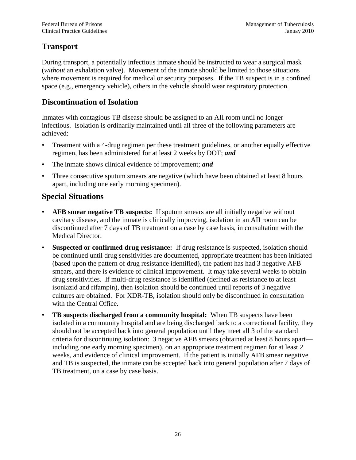## <span id="page-30-0"></span>**Transport**

During transport, a potentially infectious inmate should be instructed to wear a surgical mask (*without* an exhalation valve). Movement of the inmate should be limited to those situations where movement is required for medical or security purposes. If the TB suspect is in a confined space (e.g., emergency vehicle), others in the vehicle should wear respiratory protection.

## <span id="page-30-1"></span>**Discontinuation of Isolation**

Inmates with contagious TB disease should be assigned to an AII room until no longer infectious. Isolation is ordinarily maintained until all three of the following parameters are achieved:

- Treatment with a 4-drug regimen per these treatment guidelines, or another equally effective regimen, has been administered for at least 2 weeks by DOT; *and*
- The inmate shows clinical evidence of improvement; *and*
- Three consecutive sputum smears are negative (which have been obtained at least 8 hours apart, including one early morning specimen).

## <span id="page-30-2"></span>**Special Situations**

- **AFB smear negative TB suspects:** If sputum smears are all initially negative without cavitary disease, and the inmate is clinically improving, isolation in an AII room can be discontinued after 7 days of TB treatment on a case by case basis, in consultation with the Medical Director.
- **Suspected or confirmed drug resistance:** If drug resistance is suspected, isolation should be continued until drug sensitivities are documented, appropriate treatment has been initiated (based upon the pattern of drug resistance identified), the patient has had 3 negative AFB smears, and there is evidence of clinical improvement. It may take several weeks to obtain drug sensitivities. If multi-drug resistance is identified (defined as resistance to at least isoniazid and rifampin), then isolation should be continued until reports of 3 negative cultures are obtained. For XDR-TB, isolation should only be discontinued in consultation with the Central Office.
- <span id="page-30-3"></span>• **TB suspects discharged from a community hospital:** When TB suspects have been isolated in a community hospital and are being discharged back to a correctional facility, they should not be accepted back into general population until they meet all 3 of the standard criteria for discontinuing isolation: 3 negative AFB smears (obtained at least 8 hours apart including one early morning specimen), on an appropriate treatment regimen for at least 2 weeks, and evidence of clinical improvement. If the patient is initially AFB smear negative and TB is suspected, the inmate can be accepted back into general population after 7 days of TB treatment, on a case by case basis.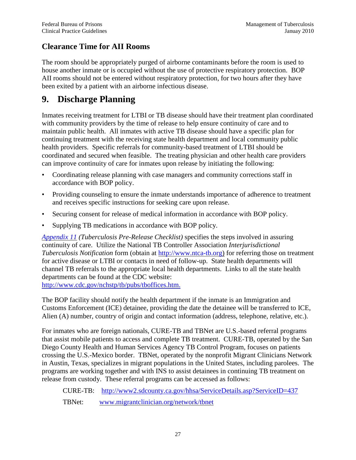## **Clearance Time for AII Rooms**

The room should be appropriately purged of airborne contaminants before the room is used to house another inmate or is occupied without the use of protective respiratory protection. BOP AII rooms should not be entered without respiratory protection, for two hours after they have been exited by a patient with an airborne infectious disease.

## <span id="page-31-0"></span>**9. Discharge Planning**

Inmates receiving treatment for LTBI or TB disease should have their treatment plan coordinated with community providers by the time of release to help ensure continuity of care and to maintain public health. All inmates with active TB disease should have a specific plan for continuing treatment with the receiving state health department and local community public health providers. Specific referrals for community-based treatment of LTBI should be coordinated and secured when feasible. The treating physician and other health care providers can improve continuity of care for inmates upon release by initiating the following:

- Coordinating release planning with case managers and community corrections staff in accordance with BOP policy.
- Providing counseling to ensure the inmate understands importance of adherence to treatment and receives specific instructions for seeking care upon release.
- Securing consent for release of medical information in accordance with BOP policy.
- Supplying TB medications in accordance with BOP policy.

*[Appendix 11](#page-50-0) (Tuberculosis Pre-Release Checklist)* specifies the steps involved in assuring continuity of care. Utilize the National TB Controller Association *Interjurisdictional Tuberculosis Notification* form (obtain at [http://www.ntca-tb.org\)](http://www.ntca-tb.org/) for referring those on treatment for active disease or LTBI or contacts in need of follow-up. State health departments will channel TB referrals to the appropriate local health departments. Links to all the state health departments can be found at the CDC website:

[http://www.cdc.gov/nchstp/tb/pubs/tboffices.htm.](http://www.cdc.gov/nchstp/tb/pubs/tboffices.htm) 

The BOP facility should notify the health department if the inmate is an Immigration and Customs Enforcement (ICE) detainee, providing the date the detainee will be transferred to ICE, Alien (A) number, country of origin and contact information (address, telephone, relative, etc.).

For inmates who are foreign nationals, CURE-TB and TBNet are U.S.-based referral programs that assist mobile patients to access and complete TB treatment. CURE-TB, operated by the San Diego County Health and Human Services Agency TB Control Program, focuses on patients crossing the U.S.-Mexico border. TBNet, operated by the nonprofit Migrant Clinicians Network in Austin, Texas, specializes in migrant populations in the United States, including parolees. The programs are working together and with INS to assist detainees in continuing TB treatment on release from custody. These referral programs can be accessed as follows:

CURE-TB: <http://www2.sdcounty.ca.gov/hhsa/ServiceDetails.asp?ServiceID=437>

TBNet: [www.migrantclinician.org/network/tbnet](http://www.migrantclinician.org/network/tbnet)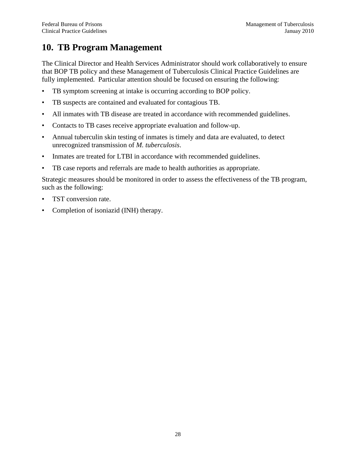## <span id="page-32-0"></span>**10. TB Program Management**

The Clinical Director and Health Services Administrator should work collaboratively to ensure that BOP TB policy and these Management of Tuberculosis Clinical Practice Guidelines are fully implemented. Particular attention should be focused on ensuring the following:

- TB symptom screening at intake is occurring according to BOP policy.
- TB suspects are contained and evaluated for contagious TB.
- All inmates with TB disease are treated in accordance with recommended guidelines.
- Contacts to TB cases receive appropriate evaluation and follow-up.
- Annual tuberculin skin testing of inmates is timely and data are evaluated, to detect unrecognized transmission of *M. tuberculosis*.
- Inmates are treated for LTBI in accordance with recommended guidelines.
- TB case reports and referrals are made to health authorities as appropriate.

Strategic measures should be monitored in order to assess the effectiveness of the TB program, such as the following:

- TST conversion rate.
- Completion of isoniazid (INH) therapy.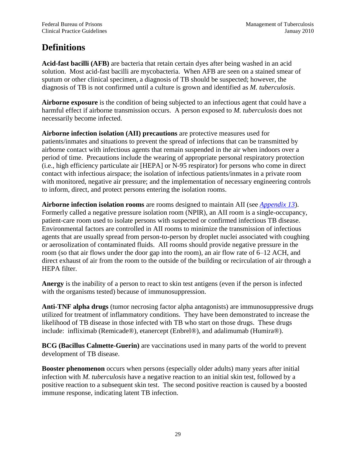# <span id="page-33-0"></span>**Definitions**

**Acid-fast bacilli (AFB)** are bacteria that retain certain dyes after being washed in an acid solution. Most acid-fast bacilli are mycobacteria. When AFB are seen on a stained smear of sputum or other clinical specimen, a diagnosis of TB should be suspected; however, the diagnosis of TB is not confirmed until a culture is grown and identified as *M. tuberculosis*.

**Airborne exposure** is the condition of being subjected to an infectious agent that could have a harmful effect if airborne transmission occurs. A person exposed to *M. tuberculosis* does not necessarily become infected.

**Airborne infection isolation (AII) precautions** are protective measures used for patients/inmates and situations to prevent the spread of infections that can be transmitted by airborne contact with infectious agents that remain suspended in the air when indoors over a period of time. Precautions include the wearing of appropriate personal respiratory protection (i.e., high efficiency particulate air [HEPA] or N-95 respirator) for persons who come in direct contact with infectious airspace; the isolation of infectious patients/inmates in a private room with monitored, negative air pressure; and the implementation of necessary engineering controls to inform, direct, and protect persons entering the isolation rooms.

**Airborne infection isolation rooms** are rooms designed to maintain AII (see *[Appendix 13](#page-53-0)*). Formerly called a negative pressure isolation room (NPIR), an AII room is a single-occupancy, patient-care room used to isolate persons with suspected or confirmed infectious TB disease. Environmental factors are controlled in AII rooms to minimize the transmission of infectious agents that are usually spread from person-to-person by droplet nuclei associated with coughing or aerosolization of contaminated fluids. AII rooms should provide negative pressure in the room (so that air flows under the door gap into the room), an air flow rate of 6–12 ACH, and direct exhaust of air from the room to the outside of the building or recirculation of air through a HEPA filter.

**Anergy** is the inability of a person to react to skin test antigens (even if the person is infected with the organisms tested) because of immunosuppression.

**Anti-TNF alpha drugs** (tumor necrosing factor alpha antagonists) are immunosuppressive drugs utilized for treatment of inflammatory conditions. They have been demonstrated to increase the likelihood of TB disease in those infected with TB who start on those drugs. These drugs include: infliximab (Remicade®), etanercept (Enbrel®), and adalimumab (Humira®).

**BCG (Bacillus Calmette-Guerin)** are vaccinations used in many parts of the world to prevent development of TB disease.

**Booster phenomenon** occurs when persons (especially older adults) many years after initial infection with *M. tuberculosis* have a negative reaction to an initial skin test, followed by a positive reaction to a subsequent skin test. The second positive reaction is caused by a boosted immune response, indicating latent TB infection.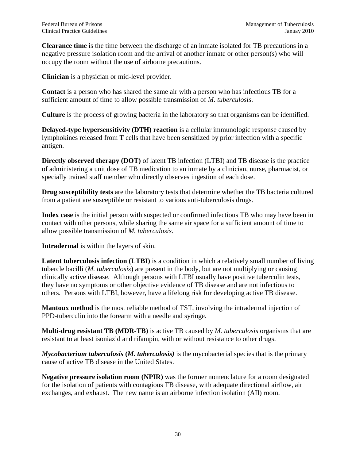**Clearance time** is the time between the discharge of an inmate isolated for TB precautions in a negative pressure isolation room and the arrival of another inmate or other person(s) who will occupy the room without the use of airborne precautions.

**Clinician** is a physician or mid-level provider.

**Contact** is a person who has shared the same air with a person who has infectious TB for a sufficient amount of time to allow possible transmission of *M. tuberculosis*.

**Culture** is the process of growing bacteria in the laboratory so that organisms can be identified.

**Delayed-type hypersensitivity (DTH) reaction** is a cellular immunologic response caused by lymphokines released from T cells that have been sensitized by prior infection with a specific antigen.

**Directly observed therapy (DOT)** of latent TB infection (LTBI) and TB disease is the practice of administering a unit dose of TB medication to an inmate by a clinician, nurse, pharmacist, or specially trained staff member who directly observes ingestion of each dose.

**Drug susceptibility tests** are the laboratory tests that determine whether the TB bacteria cultured from a patient are susceptible or resistant to various anti-tuberculosis drugs.

**Index case** is the initial person with suspected or confirmed infectious TB who may have been in contact with other persons, while sharing the same air space for a sufficient amount of time to allow possible transmission of *M. tuberculosis*.

**Intradermal** is within the layers of skin.

Latent tuberculosis infection (LTBI) is a condition in which a relatively small number of living tubercle bacilli (*M. tuberculosis*) are present in the body, but are not multiplying or causing clinically active disease. Although persons with LTBI usually have positive tuberculin tests, they have no symptoms or other objective evidence of TB disease and are not infectious to others. Persons with LTBI, however, have a lifelong risk for developing active TB disease.

**Mantoux method** is the most reliable method of TST, involving the intradermal injection of PPD-tuberculin into the forearm with a needle and syringe.

**Multi-drug resistant TB (MDR-TB)** is active TB caused by *M. tuberculosis* organisms that are resistant to at least isoniazid and rifampin, with or without resistance to other drugs.

*Mycobacterium tuberculosis* **(***M. tuberculosis)* is the mycobacterial species that is the primary cause of active TB disease in the United States.

**Negative pressure isolation room (NPIR)** was the former nomenclature for a room designated for the isolation of patients with contagious TB disease, with adequate directional airflow, air exchanges, and exhaust. The new name is an airborne infection isolation (AII) room.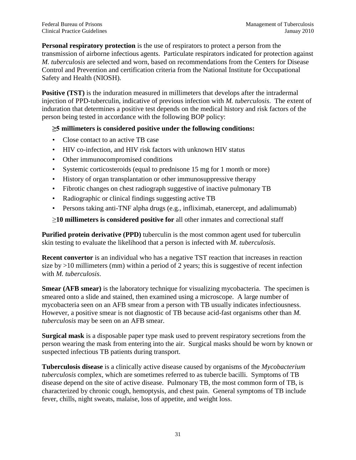**Personal respiratory protection** is the use of respirators to protect a person from the transmission of airborne infectious agents. Particulate respirators indicated for protection against *M. tuberculosis* are selected and worn, based on recommendations from the Centers for Disease Control and Prevention and certification criteria from the National Institute for Occupational Safety and Health (NIOSH).

**Positive (TST)** is the induration measured in millimeters that develops after the intradermal injection of PPD-tuberculin, indicative of previous infection with *M. tuberculosis*. The extent of induration that determines a positive test depends on the medical history and risk factors of the person being tested in accordance with the following BOP policy:

### **≥5 millimeters is considered positive under the following conditions:**

- Close contact to an active TB case
- HIV co-infection, and HIV risk factors with unknown HIV status
- Other immunocompromised conditions
- Systemic corticosteroids (equal to prednisone 15 mg for 1 month or more)
- History of organ transplantation or other immunosuppressive therapy
- Fibrotic changes on chest radiograph suggestive of inactive pulmonary TB
- Radiographic or clinical findings suggesting active TB
- Persons taking anti-TNF alpha drugs (e.g., infliximab, etanercept, and adalimumab)

### ≥**10 millimeters is considered positive for** all other inmates and correctional staff

**Purified protein derivative (PPD)** tuberculin is the most common agent used for tuberculin skin testing to evaluate the likelihood that a person is infected with *M. tuberculosis*.

**Recent convertor** is an individual who has a negative TST reaction that increases in reaction size by  $>10$  millimeters (mm) within a period of 2 years; this is suggestive of recent infection with *M. tuberculosis*.

**Smear (AFB smear)** is the laboratory technique for visualizing mycobacteria. The specimen is smeared onto a slide and stained, then examined using a microscope. A large number of mycobacteria seen on an AFB smear from a person with TB usually indicates infectiousness. However, a positive smear is not diagnostic of TB because acid-fast organisms other than *M. tuberculosis* may be seen on an AFB smear.

**Surgical mask** is a disposable paper type mask used to prevent respiratory secretions from the person wearing the mask from entering into the air. Surgical masks should be worn by known or suspected infectious TB patients during transport.

**Tuberculosis disease** is a clinically active disease caused by organisms of the *Mycobacterium tuberculosis* complex, which are sometimes referred to as tubercle bacilli. Symptoms of TB disease depend on the site of active disease. Pulmonary TB, the most common form of TB, is characterized by chronic cough, hemoptysis, and chest pain. General symptoms of TB include fever, chills, night sweats, malaise, loss of appetite, and weight loss.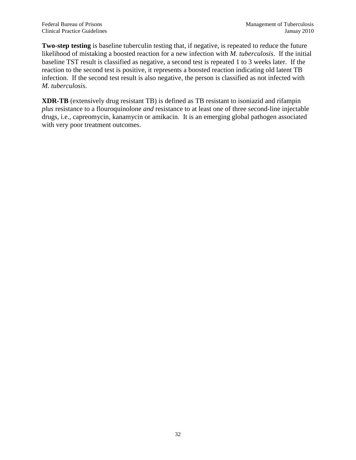**Two-step testing** is baseline tuberculin testing that, if negative, is repeated to reduce the future likelihood of mistaking a boosted reaction for a new infection with *M. tuberculosis*. If the initial baseline TST result is classified as negative, a second test is repeated 1 to 3 weeks later. If the reaction to the second test is positive, it represents a boosted reaction indicating old latent TB infection. If the second test result is also negative, the person is classified as not infected with *M. tuberculosis*.

**XDR-TB** (extensively drug resistant TB) is defined as TB resistant to isoniazid and rifampin *plus* resistance to a flouroquinolone *and* resistance to at least one of three second-line injectable drugs, i.e., capreomycin, kanamycin or amikacin. It is an emerging global pathogen associated with very poor treatment outcomes.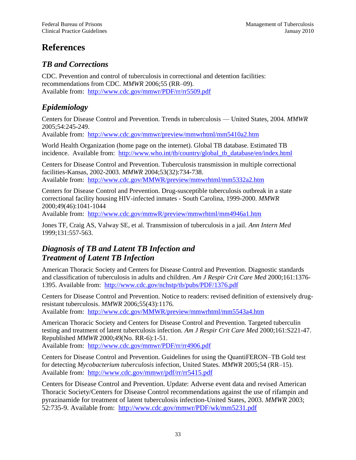# <span id="page-37-0"></span>**References**

## *TB and Corrections*

CDC. Prevention and control of tuberculosis in correctional and detention facilities: recommendations from CDC. *MMWR* 2006;55 (RR–09). Available from: <http://www.cdc.gov/mmwr/PDF/rr/rr5509.pdf>

## *Epidemiology*

Centers for Disease Control and Prevention. Trends in tuberculosis — United States, 2004. *MMWR* 2005;54:245-249.

Available from: <http://www.cdc.gov/mmwr/preview/mmwrhtml/mm5410a2.htm>

World Health Organization (home page on the internet). Global TB database. Estimated TB incidence. Available from: [http://www.who.int/tb/country/global\\_tb\\_database/en/index.html](http://www.who.int/tb/country/global_tb_database/en/index.html)

Centers for Disease Control and Prevention. Tuberculosis transmission in multiple correctional facilities-Kansas, 2002-2003. *MMWR* 2004;53(32):734-738. Available from: <http://www.cdc.gov/MMWR/preview/mmwrhtml/mm5332a2.htm>

Centers for Disease Control and Prevention. Drug-susceptible tuberculosis outbreak in a state correctional facility housing HIV-infected inmates - South Carolina, 1999-2000. *MMWR* 2000;49(46):1041-1044

Available from: <http://www.cdc.gov/mmwR/preview/mmwrhtml/mm4946a1.htm>

Jones TF, Craig AS, Valway SE, et al. Transmission of tuberculosis in a jail. *Ann Intern Med* 1999;131:557-563.

## *Diagnosis of TB and Latent TB Infection and Treatment of Latent TB Infection*

American Thoracic Society and Centers for Disease Control and Prevention. Diagnostic standards and classification of tuberculosis in adults and children. *Am J Respir Crit Care Med* 2000;161:1376- 1395. Available from: <http://www.cdc.gov/nchstp/tb/pubs/PDF/1376.pdf>

Centers for Disease Control and Prevention. Notice to readers: revised definition of extensively drugresistant tuberculosis. *MMWR* 2006;55(43):1176.

Available from: <http://www.cdc.gov/MMWR/preview/mmwrhtml/mm5543a4.htm>

American Thoracic Society and Centers for Disease Control and Prevention. Targeted tuberculin testing and treatment of latent tuberculosis infection. *Am J Respir Crit Care Med* 2000;161:S221-47. Republished *MMWR* 2000;49(No. RR-6):1-51.

Available from:<http://www.cdc.gov/mmwr/PDF/rr/rr4906.pdf>

Centers for Disease Control and Prevention. Guidelines for using the QuantiFERON–TB Gold test for detecting *Mycobacterium tuberculosis* infection, United States. *MMWR* 2005;54 (RR–15). Available from: <http://www.cdc.gov/mmwr/pdf/rr/rr5415.pdf>

Centers for Disease Control and Prevention. Update: Adverse event data and revised American Thoracic Society/Centers for Disease Control recommendations against the use of rifampin and pyrazinamide for treatment of latent tuberculosis infection-United States, 2003. *MMWR* 2003; 52:735-9. Available from: <http://www.cdc.gov/mmwr/PDF/wk/mm5231.pdf>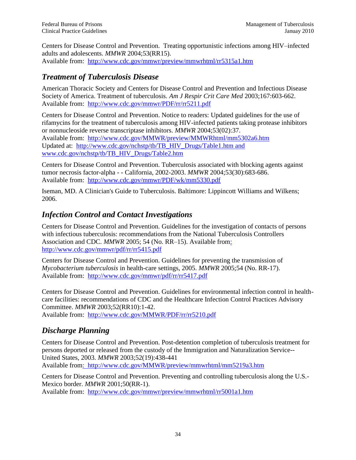Centers for Disease Control and Prevention. Treating opportunistic infections among HIV–infected adults and adolescents. *MMWR* 2004;53(RR15). Available from: <http://www.cdc.gov/mmwr/preview/mmwrhtml/rr5315a1.htm>

## *Treatment of Tuberculosis Disease*

American Thoracic Society and Centers for Disease Control and Prevention and Infectious Disease Society of America. Treatment of tuberculosis. *Am J Respir Crit Care Med* 2003;167:603-662. Available from: <http://www.cdc.gov/mmwr/PDF/rr/rr5211.pdf>

Centers for Disease Control and Prevention. Notice to readers: Updated guidelines for the use of rifamycins for the treatment of tuberculosis among HIV-infected patients taking protease inhibitors or nonnucleoside reverse transcriptase inhibitors. *MMWR* 2004;53(02):37. Available from: <http://www.cdc.gov/MMWR/preview/MMWRhtml/mm5302a6.htm> Updated at: [http://www.cdc.gov/nchstp/tb/TB\\_HIV\\_Drugs/Table1.htm](http://www.cdc.gov/nchstp/tb/TB_HIV_Drugs/Table1.htm) and [www.cdc.gov/nchstp/tb/TB\\_HIV\\_Drugs/Table2.htm](http://www.cdc.gov/nchstp/tb/TB_HIV_Drugs/Table2.htm)

Centers for Disease Control and Prevention. Tuberculosis associated with blocking agents against tumor necrosis factor-alpha - - California, 2002-2003. *MMWR* 2004;53(30):683-686. Available from: <http://www.cdc.gov/mmwr/PDF/wk/mm5330.pdf>

Iseman, MD. A Clinician's Guide to Tuberculosis. Baltimore: Lippincott Williams and Wilkens; 2006.

## *Infection Control and Contact Investigations*

Centers for Disease Control and Prevention. Guidelines for the investigation of contacts of persons with infectious tuberculosis: recommendations from the National Tuberculosis Controllers Association and CDC. *MMWR* 2005; 54 (No. RR–15). Available from: <http://www.cdc.gov/mmwr/pdf/rr/rr5415.pdf>

Centers for Disease Control and Prevention. Guidelines for preventing the transmission of *Mycobacterium tuberculosis* in health-care settings, 2005. *MMWR* 2005;54 (No. RR-17). Available from: <http://www.cdc.gov/mmwr/pdf/rr/rr5417.pdf>

Centers for Disease Control and Prevention. Guidelines for environmental infection control in healthcare facilities: recommendations of CDC and the Healthcare Infection Control Practices Advisory Committee. *MMWR* 2003;52(RR10):1-42.

Available from: <http://www.cdc.gov/MMWR/PDF/rr/rr5210.pdf>

## *Discharge Planning*

Centers for Disease Control and Prevention. Post-detention completion of tuberculosis treatment for persons deported or released from the custody of the Immigration and Naturalization Service-- United States, 2003. *MMWR* 2003;52(19):438-441 Available from: <http://www.cdc.gov/MMWR/preview/mmwrhtml/mm5219a3.htm>

Centers for Disease Control and Prevention. Preventing and controlling tuberculosis along the U.S.- Mexico border. *MMWR* 2001;50(RR-1).

Available from: <http://www.cdc.gov/mmwr/preview/mmwrhtml/rr5001a1.htm>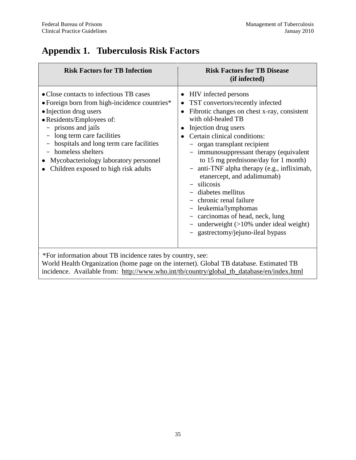# <span id="page-39-0"></span>**Appendix 1. Tuberculosis Risk Factors**

| <b>Risk Factors for TB Infection</b>                                                                                                                                                                                                                                                                                                                 | <b>Risk Factors for TB Disease</b><br>(if infected)                                                                                                                                                                                                                                                                                                                                                                                                                                                                                                                                                                                                 |
|------------------------------------------------------------------------------------------------------------------------------------------------------------------------------------------------------------------------------------------------------------------------------------------------------------------------------------------------------|-----------------------------------------------------------------------------------------------------------------------------------------------------------------------------------------------------------------------------------------------------------------------------------------------------------------------------------------------------------------------------------------------------------------------------------------------------------------------------------------------------------------------------------------------------------------------------------------------------------------------------------------------------|
| • Close contacts to infectious TB cases<br>• Foreign born from high-incidence countries*<br>• Injection drug users<br>• Residents/Employees of:<br>- prisons and jails<br>long term care facilities<br>hospitals and long term care facilities<br>homeless shelters<br>Mycobacteriology laboratory personnel<br>Children exposed to high risk adults | HIV infected persons<br>٠<br>TST convertors/recently infected<br>Fibrotic changes on chest x-ray, consistent<br>$\bullet$<br>with old-healed TB<br>Injection drug users<br>٠<br>Certain clinical conditions:<br>- organ transplant recipient<br>immunosuppressant therapy (equivalent<br>to 15 mg prednisone/day for 1 month)<br>anti-TNF alpha therapy (e.g., infliximab,<br>$\overline{\phantom{a}}$<br>etanercept, and adalimumab)<br>silicosis<br>$\equiv$<br>diabetes mellitus<br>chronic renal failure<br>leukemia/lymphomas<br>carcinomas of head, neck, lung<br>underweight $(>10\%$ under ideal weight)<br>gastrectomy/jejuno-ileal bypass |

incidence. Available from: [http://www.who.int/tb/country/global\\_tb\\_database/en/index.html](http://www.who.int/tb/country/global_tb_database/en/index.html)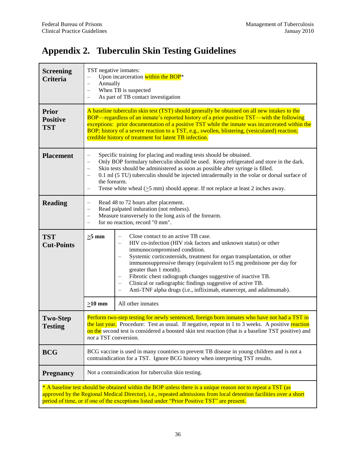# <span id="page-40-0"></span>**Appendix 2. Tuberculin Skin Testing Guidelines**

| <b>Screening</b><br><b>Criteria</b>           | TST negative inmates:<br>Upon incarceration within the BOP*<br>$\overline{\phantom{0}}$<br>Annually<br>$\overline{\phantom{0}}$<br>When TB is suspected<br>As part of TB contact investigation                                                                                                                                                                                                                                                                                                                   |                                                                                                                                                                                                                                                                                                                                                                                                                                                                                                                            |  |
|-----------------------------------------------|------------------------------------------------------------------------------------------------------------------------------------------------------------------------------------------------------------------------------------------------------------------------------------------------------------------------------------------------------------------------------------------------------------------------------------------------------------------------------------------------------------------|----------------------------------------------------------------------------------------------------------------------------------------------------------------------------------------------------------------------------------------------------------------------------------------------------------------------------------------------------------------------------------------------------------------------------------------------------------------------------------------------------------------------------|--|
| <b>Prior</b><br><b>Positive</b><br><b>TST</b> | A baseline tuberculin skin test (TST) should generally be obtained on all new intakes to the<br>BOP—regardless of an inmate's reported history of a prior positive TST—with the following<br>exceptions: prior documentation of a positive TST while the inmate was incarcerated within the<br>BOP; history of a severe reaction to a TST, e.g., swollen, blistering, (vesiculated) reaction;<br>credible history of treatment for latent TB infection.                                                          |                                                                                                                                                                                                                                                                                                                                                                                                                                                                                                                            |  |
| <b>Placement</b>                              | Specific training for placing and reading tests should be obtained.<br>$\overline{\phantom{0}}$<br>Only BOP formulary tuberculin should be used. Keep refrigerated and store in the dark.<br>Skin tests should be administered as soon as possible after syringe is filled.<br>0.1 ml (5 TU) tuberculin should be injected intradermally in the volar or dorsal surface of<br>the forearm.<br>Tense white wheal $( \geq 5$ mm) should appear. If not replace at least 2 inches away.<br>$\overline{\phantom{0}}$ |                                                                                                                                                                                                                                                                                                                                                                                                                                                                                                                            |  |
| <b>Reading</b>                                | Read 48 to 72 hours after placement.<br>$\overline{\phantom{0}}$<br>Read palpated induration (not redness).<br>$\overline{\phantom{0}}$<br>Measure transversely to the long axis of the forearm.<br>$\qquad \qquad -$<br>for no reaction, record "0 mm".                                                                                                                                                                                                                                                         |                                                                                                                                                                                                                                                                                                                                                                                                                                                                                                                            |  |
| <b>TST</b><br><b>Cut-Points</b>               | $\geq 5$ mm                                                                                                                                                                                                                                                                                                                                                                                                                                                                                                      | Close contact to an active TB case.<br>HIV co-infection (HIV risk factors and unknown status) or other<br>immunocompromised condition.<br>Systemic corticosteroids, treatment for organ transplantation, or other<br>immunosuppressive therapy (equivalent to 15 mg prednisone per day for<br>greater than 1 month).<br>Fibrotic chest radiograph changes suggestive of inactive TB.<br>Clinical or radiographic findings suggestive of active TB.<br>Anti-TNF alpha drugs (i.e., infliximab, etanercept, and adalimumab). |  |
|                                               | $\geq 10$ mm                                                                                                                                                                                                                                                                                                                                                                                                                                                                                                     | All other inmates                                                                                                                                                                                                                                                                                                                                                                                                                                                                                                          |  |
| <b>Two-Step</b><br><b>Testing</b>             | Perform two-step testing for newly sentenced, foreign born inmates who have not had a TST in<br>the last year. Procedure: Test as usual. If negative, repeat in 1 to 3 weeks. A positive reaction<br>on the second test is considered a boosted skin test reaction (that is a baseline TST positive) and<br>not a TST conversion.                                                                                                                                                                                |                                                                                                                                                                                                                                                                                                                                                                                                                                                                                                                            |  |
| <b>BCG</b>                                    | BCG vaccine is used in many countries to prevent TB disease in young children and is not a<br>contraindication for a TST. Ignore BCG history when interpreting TST results.                                                                                                                                                                                                                                                                                                                                      |                                                                                                                                                                                                                                                                                                                                                                                                                                                                                                                            |  |
| <b>Pregnancy</b>                              | Not a contraindication for tuberculin skin testing.                                                                                                                                                                                                                                                                                                                                                                                                                                                              |                                                                                                                                                                                                                                                                                                                                                                                                                                                                                                                            |  |
|                                               | * A baseline test should be obtained within the BOP unless there is a unique reason not to repeat a TST (as<br>approved by the Regional Medical Director), i.e., repeated admissions from local detention facilities over a short<br>period of time, or if one of the exceptions listed under "Prior Positive TST" are present.                                                                                                                                                                                  |                                                                                                                                                                                                                                                                                                                                                                                                                                                                                                                            |  |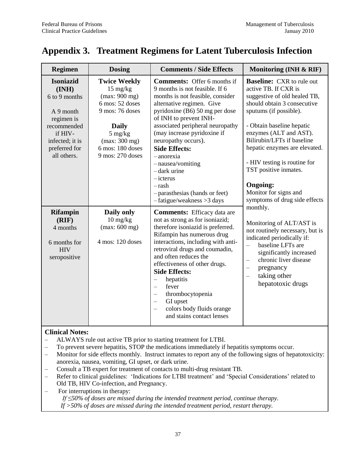# <span id="page-41-0"></span>**Appendix 3. Treatment Regimens for Latent Tuberculosis Infection**

| <b>Regimen</b>                                                                                                                                     | <b>Dosing</b>                                                                                                                                                                                  | <b>Comments / Side Effects</b>                                                                                                                                                                                                                                                                                                                                                                                                                                                 | Monitoring (INH & RIF)                                                                                                                                                                                                                                                                                                                                                       |  |
|----------------------------------------------------------------------------------------------------------------------------------------------------|------------------------------------------------------------------------------------------------------------------------------------------------------------------------------------------------|--------------------------------------------------------------------------------------------------------------------------------------------------------------------------------------------------------------------------------------------------------------------------------------------------------------------------------------------------------------------------------------------------------------------------------------------------------------------------------|------------------------------------------------------------------------------------------------------------------------------------------------------------------------------------------------------------------------------------------------------------------------------------------------------------------------------------------------------------------------------|--|
| <b>Isoniazid</b><br>(INH)<br>6 to 9 months<br>A 9 month<br>regimen is<br>recommended<br>if HIV-<br>infected; it is<br>preferred for<br>all others. | <b>Twice Weekly</b><br>$15 \text{ mg/kg}$<br>(max: 900 mg)<br>6 mos: 52 doses<br>9 mos: 76 doses<br><b>Daily</b><br>$5 \text{ mg/kg}$<br>(max: 300 mg)<br>6 mos: 180 doses<br>9 mos: 270 doses | <b>Comments:</b> Offer 6 months if<br>9 months is not feasible. If 6<br>months is not feasible, consider<br>alternative regimen. Give<br>pyridoxine (B6) 50 mg per dose<br>of INH to prevent INH-<br>associated peripheral neuropathy<br>(may increase pyridoxine if<br>neuropathy occurs).<br><b>Side Effects:</b><br>-anorexia<br>-nausea/vomiting<br>-dark urine<br>$-$ icterus<br>$-rash$<br>-parasthesias (hands or feet)<br>$-fatigue/weakness > 3$ days                 | <b>Baseline:</b> CXR to rule out<br>active TB. If CXR is<br>suggestive of old healed TB,<br>should obtain 3 consecutive<br>sputums (if possible).<br>- Obtain baseline hepatic<br>enzymes (ALT and AST).<br>Bilirubin/LFTs if baseline<br>hepatic enzymes are elevated.<br>- HIV testing is routine for<br>TST positive inmates.<br><b>Ongoing:</b><br>Monitor for signs and |  |
| <b>Rifampin</b><br>(RIF)<br>4 months<br>6 months for<br><b>HIV</b><br>seropositive                                                                 | Daily only<br>$10 \text{ mg/kg}$<br>(max: 600 mg)<br>4 mos: 120 doses                                                                                                                          | <b>Comments:</b> Efficacy data are<br>not as strong as for isoniazid;<br>therefore isoniazid is preferred.<br>Rifampin has numerous drug<br>interactions, including with anti-<br>retroviral drugs and coumadin,<br>and often reduces the<br>effectiveness of other drugs.<br><b>Side Effects:</b><br>hepatitis<br>$\equiv$<br>fever<br>$\equiv$<br>thrombocytopenia<br>$\equiv$<br>GI upset<br>$\equiv$<br>colors body fluids orange<br>$\equiv$<br>and stains contact lenses | symptoms of drug side effects<br>monthly.<br>Monitoring of ALT/AST is<br>not routinely necessary, but is<br>indicated periodically if:<br>baseline LFTs are<br>$\equiv$<br>significantly increased<br>chronic liver disease<br>$\overline{\phantom{0}}$<br>pregnancy<br>$\overline{\phantom{0}}$<br>taking other<br>$\equiv$<br>hepatotoxic drugs                            |  |

### **Clinical Notes:**

- ALWAYS rule out active TB prior to starting treatment for LTBI.<br>– To prevent severe henatitis. STOP the medications immediately if
- To prevent severe hepatitis, STOP the medications immediately if hepatitis symptoms occur.
- Monitor for side effects monthly. Instruct inmates to report any of the following signs of hepatotoxicity: anorexia, nausea, vomiting, GI upset, or dark urine.
- Consult a TB expert for treatment of contacts to multi-drug resistant TB.
- Refer to clinical guidelines: 'Indications for LTBI treatment' and 'Special Considerations' related to Old TB, HIV Co-infection, and Pregnancy.
- For interruptions in therapy: *If ≤50% of doses are missed during the intended treatment period, continue therapy. If >50% of doses are missed during the intended treatment period, restart therapy.*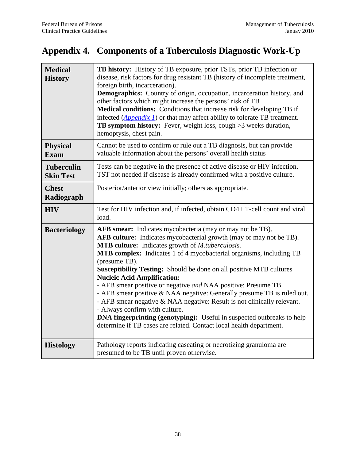# <span id="page-42-0"></span>**Appendix 4. Components of a Tuberculosis Diagnostic Work-Up**

| <b>Medical</b><br><b>History</b>      | TB history: History of TB exposure, prior TSTs, prior TB infection or<br>disease, risk factors for drug resistant TB (history of incomplete treatment,<br>foreign birth, incarceration).<br>Demographics: Country of origin, occupation, incarceration history, and<br>other factors which might increase the persons' risk of TB<br>Medical conditions: Conditions that increase risk for developing TB if<br>infected $(\underline{Appendix 1})$ or that may affect ability to tolerate TB treatment.<br><b>TB symptom history:</b> Fever, weight loss, cough $>3$ weeks duration,<br>hemoptysis, chest pain.                                                                                                                                                                                                            |
|---------------------------------------|----------------------------------------------------------------------------------------------------------------------------------------------------------------------------------------------------------------------------------------------------------------------------------------------------------------------------------------------------------------------------------------------------------------------------------------------------------------------------------------------------------------------------------------------------------------------------------------------------------------------------------------------------------------------------------------------------------------------------------------------------------------------------------------------------------------------------|
| <b>Physical</b><br><b>Exam</b>        | Cannot be used to confirm or rule out a TB diagnosis, but can provide<br>valuable information about the persons' overall health status                                                                                                                                                                                                                                                                                                                                                                                                                                                                                                                                                                                                                                                                                     |
| <b>Tuberculin</b><br><b>Skin Test</b> | Tests can be negative in the presence of active disease or HIV infection.<br>TST not needed if disease is already confirmed with a positive culture.                                                                                                                                                                                                                                                                                                                                                                                                                                                                                                                                                                                                                                                                       |
| <b>Chest</b><br>Radiograph            | Posterior/anterior view initially; others as appropriate.                                                                                                                                                                                                                                                                                                                                                                                                                                                                                                                                                                                                                                                                                                                                                                  |
| <b>HIV</b>                            | Test for HIV infection and, if infected, obtain CD4+ T-cell count and viral<br>load.                                                                                                                                                                                                                                                                                                                                                                                                                                                                                                                                                                                                                                                                                                                                       |
| <b>Bacteriology</b>                   | AFB smear: Indicates mycobacteria (may or may not be TB).<br>AFB culture: Indicates mycobacterial growth (may or may not be TB).<br>MTB culture: Indicates growth of <i>M.tuberculosis</i> .<br><b>MTB complex:</b> Indicates 1 of 4 mycobacterial organisms, including TB<br>(presume TB).<br>Susceptibility Testing: Should be done on all positive MTB cultures<br><b>Nucleic Acid Amplification:</b><br>- AFB smear positive or negative and NAA positive: Presume TB.<br>- AFB smear positive & NAA negative: Generally presume TB is ruled out.<br>- AFB smear negative & NAA negative: Result is not clinically relevant.<br>- Always confirm with culture.<br><b>DNA fingerprinting (genotyping):</b> Useful in suspected outbreaks to help<br>determine if TB cases are related. Contact local health department. |
| <b>Histology</b>                      | Pathology reports indicating caseating or necrotizing granuloma are<br>presumed to be TB until proven otherwise.                                                                                                                                                                                                                                                                                                                                                                                                                                                                                                                                                                                                                                                                                                           |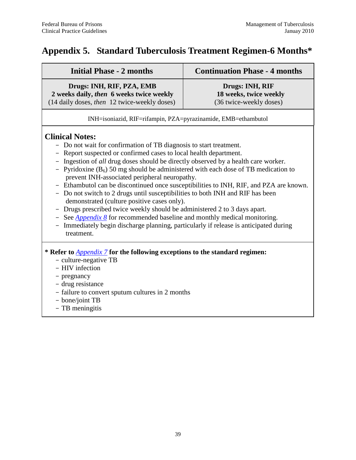# <span id="page-43-0"></span>**Appendix 5. Standard Tuberculosis Treatment Regimen-6 Months\***

| <b>Initial Phase - 2 months</b>                                                                                                                                                                                                                                                                                                                                                                                                                                                                                                                                                                                                                                                                                                                                                                                                                                                        | <b>Continuation Phase - 4 months</b>                                 |
|----------------------------------------------------------------------------------------------------------------------------------------------------------------------------------------------------------------------------------------------------------------------------------------------------------------------------------------------------------------------------------------------------------------------------------------------------------------------------------------------------------------------------------------------------------------------------------------------------------------------------------------------------------------------------------------------------------------------------------------------------------------------------------------------------------------------------------------------------------------------------------------|----------------------------------------------------------------------|
| Drugs: INH, RIF, PZA, EMB<br>2 weeks daily, then 6 weeks twice weekly<br>(14 daily doses, then 12 twice-weekly doses)                                                                                                                                                                                                                                                                                                                                                                                                                                                                                                                                                                                                                                                                                                                                                                  | Drugs: INH, RIF<br>18 weeks, twice weekly<br>(36 twice-weekly doses) |
| INH=isoniazid, RIF=rifampin, PZA=pyrazinamide, EMB=ethambutol                                                                                                                                                                                                                                                                                                                                                                                                                                                                                                                                                                                                                                                                                                                                                                                                                          |                                                                      |
| <b>Clinical Notes:</b><br>- Do not wait for confirmation of TB diagnosis to start treatment.<br>- Report suspected or confirmed cases to local health department.<br>Ingestion of all drug doses should be directly observed by a health care worker.<br>- Pyridoxine $(B_6)$ 50 mg should be administered with each dose of TB medication to<br>prevent INH-associated peripheral neuropathy.<br>- Ethambutol can be discontinued once susceptibilities to INH, RIF, and PZA are known.<br>Do not switch to 2 drugs until susceptibilities to both INH and RIF has been<br>demonstrated (culture positive cases only).<br>- Drugs prescribed twice weekly should be administered 2 to 3 days apart.<br>See $Appendix 8$ for recommended baseline and monthly medical monitoring.<br>Immediately begin discharge planning, particularly if release is anticipated during<br>treatment. |                                                                      |
| * Refer to <i>Appendix</i> 7 for the following exceptions to the standard regimen:<br>- culture-negative TB<br>- HIV infection                                                                                                                                                                                                                                                                                                                                                                                                                                                                                                                                                                                                                                                                                                                                                         |                                                                      |

#### - pregnancy

- drug resistance
- failure to convert sputum cultures in 2 months
- bone/joint TB
- TB meningitis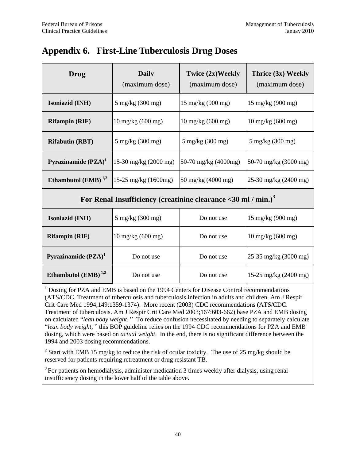# <span id="page-44-0"></span>**Appendix 6. First-Line Tuberculosis Drug Doses**

| <b>Daily</b><br>Drug<br>(maximum dose)                                       |                             | Twice (2x)Weekly<br>(maximum dose) | Thrice (3x) Weekly<br>(maximum dose) |
|------------------------------------------------------------------------------|-----------------------------|------------------------------------|--------------------------------------|
| Isoniazid (INH)                                                              | $5 \text{ mg/kg}$ (300 mg)  | 15 mg/kg (900 mg)                  | $15 \text{ mg/kg} (900 \text{ mg})$  |
| <b>Rifampin (RIF)</b>                                                        | $10 \text{ mg/kg}$ (600 mg) | $10 \text{ mg/kg}$ (600 mg)        | 10 mg/kg (600 mg)                    |
| <b>Rifabutin (RBT)</b>                                                       | $5 \text{ mg/kg}$ (300 mg)  | 5 mg/kg (300 mg)                   | 5 mg/kg (300 mg)                     |
| Pyrazinamide (PZA) <sup>1</sup>                                              | 15-30 mg/kg (2000 mg)       | 50-70 mg/kg (4000mg)               | 50-70 mg/kg (3000 mg)                |
| Ethambutol $(EMB)$ <sup>1,2</sup>                                            | 15-25 mg/kg (1600mg)        | 50 mg/kg (4000 mg)                 | 25-30 mg/kg (2400 mg)                |
| For Renal Insufficiency (creatinine clearance $<$ 30 ml / min.) <sup>3</sup> |                             |                                    |                                      |
| <b>Isoniazid (INH)</b>                                                       | 5 mg/kg (300 mg)            | Do not use                         | $15 \text{ mg/kg} (900 \text{ mg})$  |
| <b>Rifampin (RIF)</b>                                                        | $10 \text{ mg/kg}$ (600 mg) | Do not use                         | $10 \text{ mg/kg}$ (600 mg)          |
| Pyrazinamide $(PZA)^1$                                                       | Do not use                  | Do not use                         | 25-35 mg/kg (3000 mg)                |
| Ethambutol $(EMB)^{1,2}$                                                     | Do not use                  | Do not use                         | 15-25 mg/kg $(2400 \text{ mg})$      |

<sup>1</sup> Dosing for PZA and EMB is based on the 1994 Centers for Disease Control recommendations (ATS/CDC. Treatment of tuberculosis and tuberculosis infection in adults and children. Am J Respir Crit Care Med 1994;149:1359-1374). More recent (2003) CDC recommendations (ATS/CDC. Treatment of tuberculosis. Am J Respir Crit Care Med 2003;167:603-662) base PZA and EMB dosing on calculated "*lean body weight*." To reduce confusion necessitated by needing to separately calculate ―*lean body weight*, ‖ this BOP guideline relies on the 1994 CDC recommendations for PZA and EMB dosing, which were based on *actual weight*. In the end, there is no significant difference between the 1994 and 2003 dosing recommendations.

<sup>2</sup> Start with EMB 15 mg/kg to reduce the risk of ocular toxicity. The use of 25 mg/kg should be reserved for patients requiring retreatment or drug resistant TB.

 $3$  For patients on hemodialysis, administer medication 3 times weekly after dialysis, using renal insufficiency dosing in the lower half of the table above.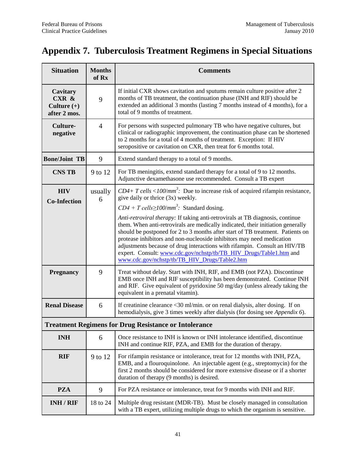# <span id="page-45-0"></span>**Appendix 7. Tuberculosis Treatment Regimens in Special Situations**

| <b>Situation</b>                                   | <b>Months</b><br>of Rx                                                                                                                                                 | <b>Comments</b>                                                                                                                                                                                                                                                                                                                                                                                                                                                                |  |  |
|----------------------------------------------------|------------------------------------------------------------------------------------------------------------------------------------------------------------------------|--------------------------------------------------------------------------------------------------------------------------------------------------------------------------------------------------------------------------------------------------------------------------------------------------------------------------------------------------------------------------------------------------------------------------------------------------------------------------------|--|--|
| Cavitary<br>CXR &<br>Culture $(+)$<br>after 2 mos. | 9                                                                                                                                                                      | If initial CXR shows cavitation and sputums remain culture positive after 2<br>months of TB treatment, the continuation phase (INH and RIF) should be<br>extended an additional 3 months (lasting 7 months instead of 4 months), for a<br>total of 9 months of treatment.                                                                                                                                                                                                      |  |  |
| <b>Culture-</b><br>negative                        | $\overline{4}$                                                                                                                                                         | For persons with suspected pulmonary TB who have negative cultures, but<br>clinical or radiographic improvement, the continuation phase can be shortened<br>to 2 months for a total of 4 months of treatment. Exception: If HIV<br>seropositive or cavitation on CXR, then treat for 6 months total.                                                                                                                                                                           |  |  |
| <b>Bone/Joint TB</b>                               | 9                                                                                                                                                                      | Extend standard therapy to a total of 9 months.                                                                                                                                                                                                                                                                                                                                                                                                                                |  |  |
| <b>CNS TB</b>                                      | 9 to 12                                                                                                                                                                | For TB meningitis, extend standard therapy for a total of 9 to 12 months.<br>Adjunctive dexamethasone use recommended. Consult a TB expert                                                                                                                                                                                                                                                                                                                                     |  |  |
| <b>HIV</b><br>usually<br>6<br><b>Co-Infection</b>  |                                                                                                                                                                        | $CD4+T$ cells <100/mm <sup>3</sup> : Due to increase risk of acquired rifampin resistance,<br>give daily or thrice (3x) weekly.<br>$CD4 + T$ cells $\geq 100$ /mm <sup>3</sup> : Standard dosing.                                                                                                                                                                                                                                                                              |  |  |
|                                                    |                                                                                                                                                                        | Anti-retroviral therapy: If taking anti-retrovirals at TB diagnosis, continue<br>them. When anti-retrovirals are medically indicated, their initiation generally<br>should be postponed for 2 to 3 months after start of TB treatment. Patients on<br>protease inhibitors and non-nucleoside inhibitors may need medication<br>adjustments because of drug interactions with rifampin. Consult an HIV/TB<br>expert. Consult: www.cdc.gov/nchstp/tb/TB_HIV_Drugs/Table1.htm and |  |  |
| <b>Pregnancy</b>                                   | 9                                                                                                                                                                      | www.cdc.gov/nchstp/tb/TB_HIV_Drugs/Table2.htm<br>Treat without delay. Start with INH, RIF, and EMB (not PZA). Discontinue<br>EMB once INH and RIF susceptibility has been demonstrated. Continue INH<br>and RIF. Give equivalent of pyridoxine 50 mg/day (unless already taking the<br>equivalent in a prenatal vitamin).                                                                                                                                                      |  |  |
| <b>Renal Disease</b>                               | If creatinine clearance $<$ 30 ml/min. or on renal dialysis, alter dosing. If on<br>6<br>hemodialysis, give 3 times weekly after dialysis (for dosing see Appendix 6). |                                                                                                                                                                                                                                                                                                                                                                                                                                                                                |  |  |
|                                                    |                                                                                                                                                                        | <b>Treatment Regimens for Drug Resistance or Intolerance</b>                                                                                                                                                                                                                                                                                                                                                                                                                   |  |  |
| <b>INH</b>                                         | 6                                                                                                                                                                      | Once resistance to INH is known or INH intolerance identified, discontinue<br>INH and continue RIF, PZA, and EMB for the duration of therapy.                                                                                                                                                                                                                                                                                                                                  |  |  |
| <b>RIF</b>                                         | 9 to 12                                                                                                                                                                | For rifampin resistance or intolerance, treat for 12 months with INH, PZA,<br>EMB, and a flouroquinolone. An injectable agent (e.g., streptomycin) for the<br>first 2 months should be considered for more extensive disease or if a shorter<br>duration of therapy (9 months) is desired.                                                                                                                                                                                     |  |  |
| <b>PZA</b>                                         | 9                                                                                                                                                                      | For PZA resistance or intolerance, treat for 9 months with INH and RIF.                                                                                                                                                                                                                                                                                                                                                                                                        |  |  |
| <b>INH / RIF</b>                                   | 18 to 24                                                                                                                                                               | Multiple drug resistant (MDR-TB). Must be closely managed in consultation<br>with a TB expert, utilizing multiple drugs to which the organism is sensitive.                                                                                                                                                                                                                                                                                                                    |  |  |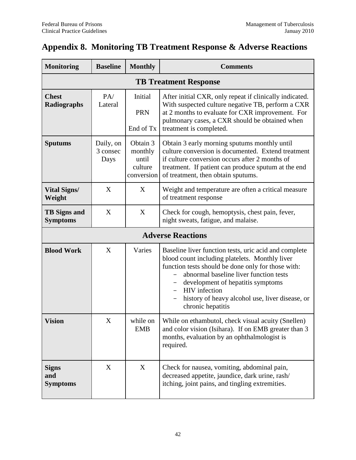# <span id="page-46-0"></span>**Appendix 8. Monitoring TB Treatment Response & Adverse Reactions**

| <b>Monitoring</b>                      | <b>Baseline</b>               | <b>Monthly</b>                                        | <b>Comments</b>                                                                                                                                                                                                                                                                                                                              |  |  |  |  |
|----------------------------------------|-------------------------------|-------------------------------------------------------|----------------------------------------------------------------------------------------------------------------------------------------------------------------------------------------------------------------------------------------------------------------------------------------------------------------------------------------------|--|--|--|--|
| <b>TB Treatment Response</b>           |                               |                                                       |                                                                                                                                                                                                                                                                                                                                              |  |  |  |  |
| <b>Chest</b><br>Radiographs            | PA/<br>Lateral                | Initial<br><b>PRN</b><br>End of Tx                    | After initial CXR, only repeat if clinically indicated.<br>With suspected culture negative TB, perform a CXR<br>at 2 months to evaluate for CXR improvement. For<br>pulmonary cases, a CXR should be obtained when<br>treatment is completed.                                                                                                |  |  |  |  |
| <b>Sputums</b>                         | Daily, on<br>3 consec<br>Days | Obtain 3<br>monthly<br>until<br>culture<br>conversion | Obtain 3 early morning sputums monthly until<br>culture conversion is documented. Extend treatment<br>if culture conversion occurs after 2 months of<br>treatment. If patient can produce sputum at the end<br>of treatment, then obtain sputums.                                                                                            |  |  |  |  |
| <b>Vital Signs/</b><br>Weight          | X                             | X                                                     | Weight and temperature are often a critical measure<br>of treatment response                                                                                                                                                                                                                                                                 |  |  |  |  |
| <b>TB</b> Signs and<br><b>Symptoms</b> | X                             | X                                                     | Check for cough, hemoptysis, chest pain, fever,<br>night sweats, fatigue, and malaise.                                                                                                                                                                                                                                                       |  |  |  |  |
| <b>Adverse Reactions</b>               |                               |                                                       |                                                                                                                                                                                                                                                                                                                                              |  |  |  |  |
| <b>Blood Work</b>                      | X                             | Varies                                                | Baseline liver function tests, uric acid and complete<br>blood count including platelets. Monthly liver<br>function tests should be done only for those with:<br>abnormal baseline liver function tests<br>development of hepatitis symptoms<br><b>HIV</b> infection<br>history of heavy alcohol use, liver disease, or<br>chronic hepatitis |  |  |  |  |
| <b>Vision</b>                          | $\mathbf X$                   | while on<br><b>EMB</b>                                | While on ethambutol, check visual acuity (Snellen)<br>and color vision (Isihara). If on EMB greater than 3<br>months, evaluation by an ophthalmologist is<br>required.                                                                                                                                                                       |  |  |  |  |
| <b>Signs</b><br>and<br><b>Symptoms</b> | X                             | X                                                     | Check for nausea, vomiting, abdominal pain,<br>decreased appetite, jaundice, dark urine, rash/<br>itching, joint pains, and tingling extremities.                                                                                                                                                                                            |  |  |  |  |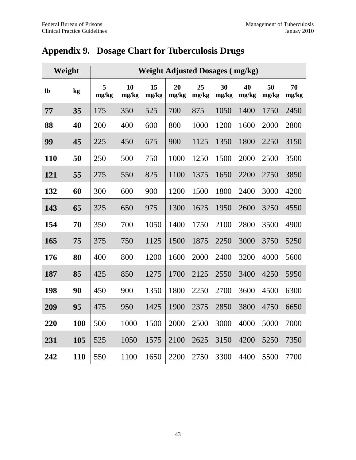| Weight    |     | <b>Weight Adjusted Dosages (mg/kg)</b> |             |             |             |             |             |             |             |             |
|-----------|-----|----------------------------------------|-------------|-------------|-------------|-------------|-------------|-------------|-------------|-------------|
| <b>lb</b> | kg  | 5<br>mg/kg                             | 10<br>mg/kg | 15<br>mg/kg | 20<br>mg/kg | 25<br>mg/kg | 30<br>mg/kg | 40<br>mg/kg | 50<br>mg/kg | 70<br>mg/kg |
| 77        | 35  | 175                                    | 350         | 525         | 700         | 875         | 1050        | 1400        | 1750        | 2450        |
| 88        | 40  | 200                                    | 400         | 600         | 800         | 1000        | 1200        | 1600        | 2000        | 2800        |
| 99        | 45  | 225                                    | 450         | 675         | 900         | 1125        | 1350        | 1800        | 2250        | 3150        |
| 110       | 50  | 250                                    | 500         | 750         | 1000        | 1250        | 1500        | 2000        | 2500        | 3500        |
| 121       | 55  | 275                                    | 550         | 825         | 1100        | 1375        | 1650        | 2200        | 2750        | 3850        |
| 132       | 60  | 300                                    | 600         | 900         | 1200        | 1500        | 1800        | 2400        | 3000        | 4200        |
| 143       | 65  | 325                                    | 650         | 975         | 1300        | 1625        | 1950        | 2600        | 3250        | 4550        |
| 154       | 70  | 350                                    | 700         | 1050        | 1400        | 1750        | 2100        | 2800        | 3500        | 4900        |
| 165       | 75  | 375                                    | 750         | 1125        | 1500        | 1875        | 2250        | 3000        | 3750        | 5250        |
| 176       | 80  | 400                                    | 800         | 1200        | 1600        | 2000        | 2400        | 3200        | 4000        | 5600        |
| 187       | 85  | 425                                    | 850         | 1275        | 1700        | 2125        | 2550        | 3400        | 4250        | 5950        |
| 198       | 90  | 450                                    | 900         | 1350        | 1800        | 2250        | 2700        | 3600        | 4500        | 6300        |
| 209       | 95  | 475                                    | 950         | 1425        | 1900        | 2375        | 2850        | 3800        | 4750        | 6650        |
| 220       | 100 | 500                                    | 1000        | 1500        | 2000        | 2500        | 3000        | 4000        | 5000        | 7000        |
| 231       | 105 | 525                                    | 1050        | 1575        | 2100        | 2625        | 3150        | 4200        | 5250        | 7350        |
| 242       | 110 | 550                                    | 1100        | 1650        | 2200        | 2750        | 3300        | 4400        | 5500        | 7700        |

# <span id="page-47-0"></span>**Appendix 9. Dosage Chart for Tuberculosis Drugs**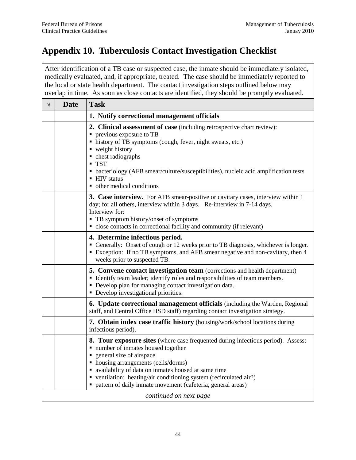# <span id="page-48-0"></span>**Appendix 10. Tuberculosis Contact Investigation Checklist**

| After identification of a TB case or suspected case, the inmate should be immediately isolated,<br>medically evaluated, and, if appropriate, treated. The case should be immediately reported to<br>the local or state health department. The contact investigation steps outlined below may<br>overlap in time. As soon as close contacts are identified, they should be promptly evaluated. |                            |                                                                                                                                                                                                                                                                                                                                                                                                                                         |  |  |  |
|-----------------------------------------------------------------------------------------------------------------------------------------------------------------------------------------------------------------------------------------------------------------------------------------------------------------------------------------------------------------------------------------------|----------------------------|-----------------------------------------------------------------------------------------------------------------------------------------------------------------------------------------------------------------------------------------------------------------------------------------------------------------------------------------------------------------------------------------------------------------------------------------|--|--|--|
| $\sqrt{}$                                                                                                                                                                                                                                                                                                                                                                                     | <b>Date</b><br><b>Task</b> |                                                                                                                                                                                                                                                                                                                                                                                                                                         |  |  |  |
|                                                                                                                                                                                                                                                                                                                                                                                               |                            | 1. Notify correctional management officials                                                                                                                                                                                                                                                                                                                                                                                             |  |  |  |
|                                                                                                                                                                                                                                                                                                                                                                                               |                            | 2. Clinical assessment of case (including retrospective chart review):<br>previous exposure to TB<br>history of TB symptoms (cough, fever, night sweats, etc.)<br>■ weight history<br>• chest radiographs<br><b>TST</b><br>• bacteriology (AFB smear/culture/susceptibilities), nucleic acid amplification tests<br>■ HIV status<br>• other medical conditions                                                                          |  |  |  |
|                                                                                                                                                                                                                                                                                                                                                                                               |                            | <b>3. Case interview.</b> For AFB smear-positive or cavitary cases, interview within 1<br>day; for all others, interview within 3 days. Re-interview in 7-14 days.<br>Interview for:<br>• TB symptom history/onset of symptoms<br>• close contacts in correctional facility and community (if relevant)                                                                                                                                 |  |  |  |
|                                                                                                                                                                                                                                                                                                                                                                                               |                            | 4. Determine infectious period.<br>Generally: Onset of cough or 12 weeks prior to TB diagnosis, whichever is longer.<br>Exception: If no TB symptoms, and AFB smear negative and non-cavitary, then 4<br>weeks prior to suspected TB.                                                                                                                                                                                                   |  |  |  |
|                                                                                                                                                                                                                                                                                                                                                                                               |                            | 5. Convene contact investigation team (corrections and health department)<br>• Identify team leader; identify roles and responsibilities of team members.<br>• Develop plan for managing contact investigation data.<br>• Develop investigational priorities.                                                                                                                                                                           |  |  |  |
|                                                                                                                                                                                                                                                                                                                                                                                               |                            | <b>6. Update correctional management officials</b> (including the Warden, Regional<br>staff, and Central Office HSD staff) regarding contact investigation strategy.                                                                                                                                                                                                                                                                    |  |  |  |
|                                                                                                                                                                                                                                                                                                                                                                                               |                            | 7. Obtain index case traffic history (housing/work/school locations during<br>infectious period).                                                                                                                                                                                                                                                                                                                                       |  |  |  |
|                                                                                                                                                                                                                                                                                                                                                                                               |                            | <b>8. Tour exposure sites</b> (where case frequented during infectious period). Assess:<br>number of inmates housed together<br>٠<br>general size of airspace<br>п<br>housing arrangements (cells/dorms)<br>٠<br>• availability of data on inmates housed at same time<br>• ventilation: heating/air conditioning system (recirculated air?)<br>• pattern of daily inmate movement (cafeteria, general areas)<br>continued on next page |  |  |  |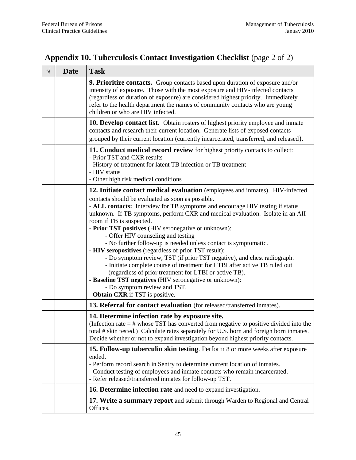| <b>Appendix 10. Tuberculosis Contact Investigation Checklist</b> (page 2 of 2) |  |  |  |  |  |  |
|--------------------------------------------------------------------------------|--|--|--|--|--|--|
|--------------------------------------------------------------------------------|--|--|--|--|--|--|

| $\sqrt{}$ | <b>Date</b> | <b>Task</b>                                                                                                                                                                                                                                                                                                                                                                                                                                                                                                                                                                                                                                                                                                                                                                                                                                                                                                   |
|-----------|-------------|---------------------------------------------------------------------------------------------------------------------------------------------------------------------------------------------------------------------------------------------------------------------------------------------------------------------------------------------------------------------------------------------------------------------------------------------------------------------------------------------------------------------------------------------------------------------------------------------------------------------------------------------------------------------------------------------------------------------------------------------------------------------------------------------------------------------------------------------------------------------------------------------------------------|
|           |             | <b>9. Prioritize contacts.</b> Group contacts based upon duration of exposure and/or<br>intensity of exposure. Those with the most exposure and HIV-infected contacts<br>(regardless of duration of exposure) are considered highest priority. Immediately<br>refer to the health department the names of community contacts who are young<br>children or who are HIV infected.                                                                                                                                                                                                                                                                                                                                                                                                                                                                                                                               |
|           |             | <b>10. Develop contact list.</b> Obtain rosters of highest priority employee and inmate<br>contacts and research their current location. Generate lists of exposed contacts<br>grouped by their current location (currently incarcerated, transferred, and released).                                                                                                                                                                                                                                                                                                                                                                                                                                                                                                                                                                                                                                         |
|           |             | 11. Conduct medical record review for highest priority contacts to collect:<br>- Prior TST and CXR results<br>- History of treatment for latent TB infection or TB treatment<br>- HIV status<br>- Other high risk medical conditions                                                                                                                                                                                                                                                                                                                                                                                                                                                                                                                                                                                                                                                                          |
|           |             | 12. Initiate contact medical evaluation (employees and inmates). HIV-infected<br>contacts should be evaluated as soon as possible.<br>- ALL contacts: Interview for TB symptoms and encourage HIV testing if status<br>unknown. If TB symptoms, perform CXR and medical evaluation. Isolate in an AII<br>room if TB is suspected.<br>- Prior TST positives (HIV seronegative or unknown):<br>- Offer HIV counseling and testing<br>- No further follow-up is needed unless contact is symptomatic.<br>- HIV seropositives (regardless of prior TST result):<br>- Do symptom review, TST (if prior TST negative), and chest radiograph.<br>- Initiate complete course of treatment for LTBI after active TB ruled out<br>(regardless of prior treatment for LTBI or active TB).<br>- Baseline TST negatives (HIV seronegative or unknown):<br>- Do symptom review and TST.<br>- Obtain CXR if TST is positive. |
|           |             | 13. Referral for contact evaluation (for released/transferred inmates).                                                                                                                                                                                                                                                                                                                                                                                                                                                                                                                                                                                                                                                                                                                                                                                                                                       |
|           |             | 14. Determine infection rate by exposure site.<br>(Infection rate $=$ # whose TST has converted from negative to positive divided into the<br>total # skin tested.) Calculate rates separately for U.S. born and foreign born inmates.<br>Decide whether or not to expand investigation beyond highest priority contacts.                                                                                                                                                                                                                                                                                                                                                                                                                                                                                                                                                                                     |
|           |             | 15. Follow-up tuberculin skin testing. Perform 8 or more weeks after exposure<br>ended.<br>- Perform record search in Sentry to determine current location of inmates.<br>- Conduct testing of employees and inmate contacts who remain incarcerated.<br>- Refer released/transferred inmates for follow-up TST.                                                                                                                                                                                                                                                                                                                                                                                                                                                                                                                                                                                              |
|           |             | 16. Determine infection rate and need to expand investigation.                                                                                                                                                                                                                                                                                                                                                                                                                                                                                                                                                                                                                                                                                                                                                                                                                                                |
|           |             | 17. Write a summary report and submit through Warden to Regional and Central<br>Offices.                                                                                                                                                                                                                                                                                                                                                                                                                                                                                                                                                                                                                                                                                                                                                                                                                      |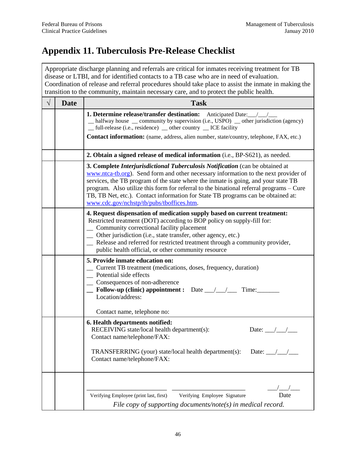# <span id="page-50-0"></span>**Appendix 11. Tuberculosis Pre-Release Checklist**

|           |             | Appropriate discharge planning and referrals are critical for inmates receiving treatment for TB<br>disease or LTBI, and for identified contacts to a TB case who are in need of evaluation.<br>Coordination of release and referral procedures should take place to assist the inmate in making the<br>transition to the community, maintain necessary care, and to protect the public health.                                                                                               |
|-----------|-------------|-----------------------------------------------------------------------------------------------------------------------------------------------------------------------------------------------------------------------------------------------------------------------------------------------------------------------------------------------------------------------------------------------------------------------------------------------------------------------------------------------|
| $\sqrt{}$ | <b>Date</b> | <b>Task</b>                                                                                                                                                                                                                                                                                                                                                                                                                                                                                   |
|           |             | _ halfway house _ community by supervision (i.e., USPO) _ other jurisdiction (agency)<br>_ full-release (i.e., residence) _ other country _ ICE facility<br><b>Contact information:</b> (name, address, alien number, state/country, telephone, FAX, etc.)                                                                                                                                                                                                                                    |
|           |             | 2. Obtain a signed release of medical information (i.e., BP-S621), as needed.                                                                                                                                                                                                                                                                                                                                                                                                                 |
|           |             | 3. Complete <i>Interjurisdictional Tuberculosis Notification</i> (can be obtained at<br>www.ntca-tb.org). Send form and other necessary information to the next provider of<br>services, the TB program of the state where the inmate is going, and your state TB<br>program. Also utilize this form for referral to the binational referral programs – Cure<br>TB, TB Net, etc.). Contact information for State TB programs can be obtained at:<br>www.cdc.gov/nchstp/tb/pubs/tboffices.htm. |
|           |             | 4. Request dispensation of medication supply based on current treatment:<br>Restricted treatment (DOT) according to BOP policy on supply-fill for:<br>Community correctional facility placement<br>Other jurisdiction (i.e., state transfer, other agency, etc.)<br>Release and referred for restricted treatment through a community provider,<br>public health official, or other community resource                                                                                        |
|           |             | 5. Provide inmate education on:<br>Current TB treatment (medications, doses, frequency, duration)<br>Potential side effects<br>Consequences of non-adherence<br>Follow-up (clinic) appointment : Date $\frac{\sqrt{2}}{2}$<br>Time:<br>Location/address:<br>Contact name, telephone no:                                                                                                                                                                                                       |
|           |             | 6. Health departments notified:<br>RECEIVING state/local health department(s):<br>Date: $\_\_\_\_\_\_\_\_\_\_\$<br>Contact name/telephone/FAX:<br>TRANSFERRING (your) state/local health department(s):<br>Date: $\_\_\_\_\_\_\_\_\_\_\$<br>Contact name/telephone/FAX:                                                                                                                                                                                                                       |
|           |             | Date<br>Verifying Employee (print last, first)<br>Verifying Employee Signature<br>File copy of supporting documents/note(s) in medical record.                                                                                                                                                                                                                                                                                                                                                |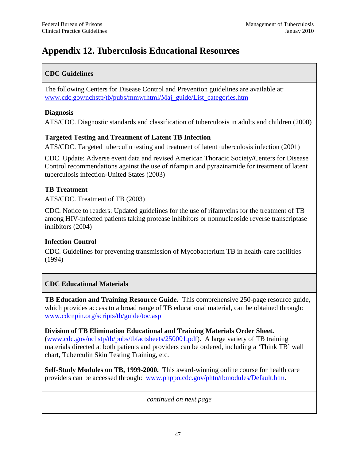# <span id="page-51-0"></span>**Appendix 12. Tuberculosis Educational Resources**

## **CDC Guidelines**

The following Centers for Disease Control and Prevention guidelines are available at: [www.cdc.gov/nchstp/tb/pubs/mmwrhtml/Maj\\_guide/List\\_categories.htm](http://www.cdc.gov/nchstp/tb/pubs/mmwrhtml/Maj_guide/List_categories.htm)

### **Diagnosis**

ATS/CDC. Diagnostic standards and classification of tuberculosis in adults and children (2000)

## **Targeted Testing and Treatment of Latent TB Infection**

ATS/CDC. Targeted tuberculin testing and treatment of latent tuberculosis infection (2001)

CDC. Update: Adverse event data and revised American Thoracic Society/Centers for Disease Control recommendations against the use of rifampin and pyrazinamide for treatment of latent tuberculosis infection-United States (2003)

## **TB Treatment**

ATS/CDC. Treatment of TB (2003)

CDC. Notice to readers: Updated guidelines for the use of rifamycins for the treatment of TB among HIV-infected patients taking protease inhibitors or nonnucleoside reverse transcriptase inhibitors (2004)

## **Infection Control**

CDC. Guidelines for preventing transmission of Mycobacterium TB in health-care facilities (1994)

## **CDC Educational Materials**

**TB Education and Training Resource Guide.** This comprehensive 250-page resource guide, which provides access to a broad range of TB educational material, can be obtained through: [www.cdcnpin.org/scripts/tb/guide/toc.asp](http://www.cdcnpin.org/scripts/tb/guide/toc.asp) 

**Division of TB Elimination Educational and Training Materials Order Sheet.** [\(www.cdc.gov/nchstp/tb/pubs/tbfactsheets/250001.pdf\)](http://www.cdc.gov/nchstp/tb/pubs/tbfactsheets/250001.pdf). A large variety of TB training materials directed at both patients and providers can be ordered, including a 'Think TB' wall chart, Tuberculin Skin Testing Training, etc.

**Self-Study Modules on TB, 1999-2000.** This award-winning online course for health care providers can be accessed through: [www.phppo.cdc.gov/phtn/tbmodules/Default.htm.](http://www.phppo.cdc.gov/phtn/tbmodules/Default.htm)

*continued on next page*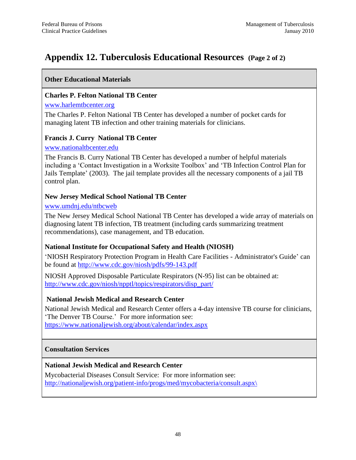## **Appendix 12. Tuberculosis Educational Resources (Page 2 of 2)**

### **Other Educational Materials**

#### **Charles P. Felton National TB Center**

#### [www.harlemtbcenter.org](http://www.harlemtbcenter.org/)

The Charles P. Felton National TB Center has developed a number of pocket cards for managing latent TB infection and other training materials for clinicians.

#### **Francis J. Curry National TB Center**

#### [www.nationaltbcenter.edu](http://www.nationaltbcenter.edu/)

The Francis B. Curry National TB Center has developed a number of helpful materials including a ‗Contact Investigation in a Worksite Toolbox' and ‗TB Infection Control Plan for Jails Template' (2003). The jail template provides all the necessary components of a jail TB control plan.

### **New Jersey Medical School National TB Center**

#### [www.umdnj.edu/ntbcweb](http://www.umdnj.edu/ntbcweb)

The New Jersey Medical School National TB Center has developed a wide array of materials on diagnosing latent TB infection, TB treatment (including cards summarizing treatment recommendations), case management, and TB education.

### **National Institute for Occupational Safety and Health (NIOSH)**

‗NIOSH Respiratory Protection Program in Health Care Facilities - Administrator's Guide' can be found at<http://www.cdc.gov/niosh/pdfs/99-143.pdf>

NIOSH Approved Disposable Particulate Respirators (N-95) list can be obtained at: [http://www.cdc.gov/niosh/npptl/topics/respirators/disp\\_part/](http://www.cdc.gov/niosh/npptl/topics/respirators/disp_part/)

### **National Jewish Medical and Research Center**

National Jewish Medical and Research Center offers a 4-day intensive TB course for clinicians, ‗The Denver TB Course.' For more information see: <https://www.nationaljewish.org/about/calendar/index.aspx>

#### **Consultation Services**

### **National Jewish Medical and Research Center**

Mycobacterial Diseases Consult Service: For more information see: http://nationaljewish.org/patient-info/progs/med/mycobacteria/consult.aspx\